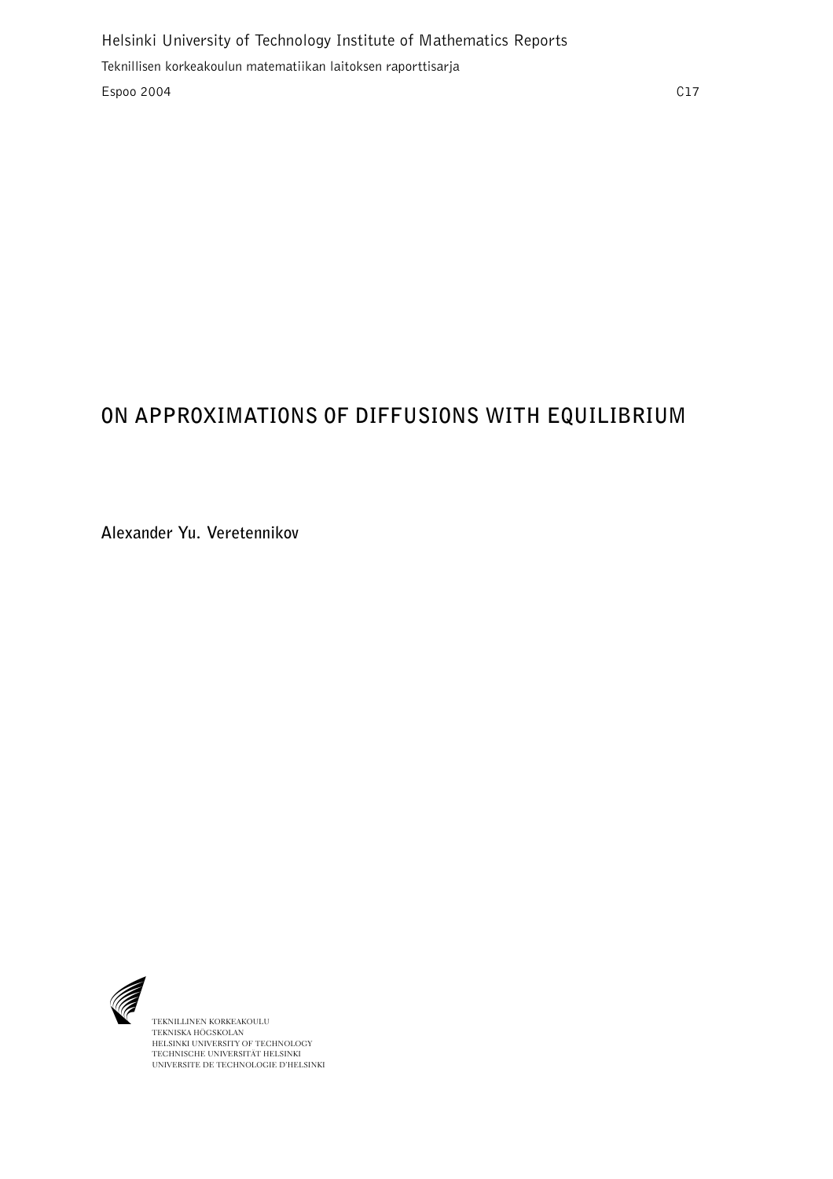# **ON APPROXIMATIONS OF DIFFUSIONS WITH EQUILIBRIUM**

**Alexander Yu. Veretennikov**



TEKNILLINEN KORKEAKOULU TEKNISKA HÖGSKOLAN HELSINKI UNIVERSITY OF TECHNOLOGY TECHNISCHE UNIVERSITÄT HELSINKI UNIVERSITE DE TECHNOLOGIE D'HELSINKI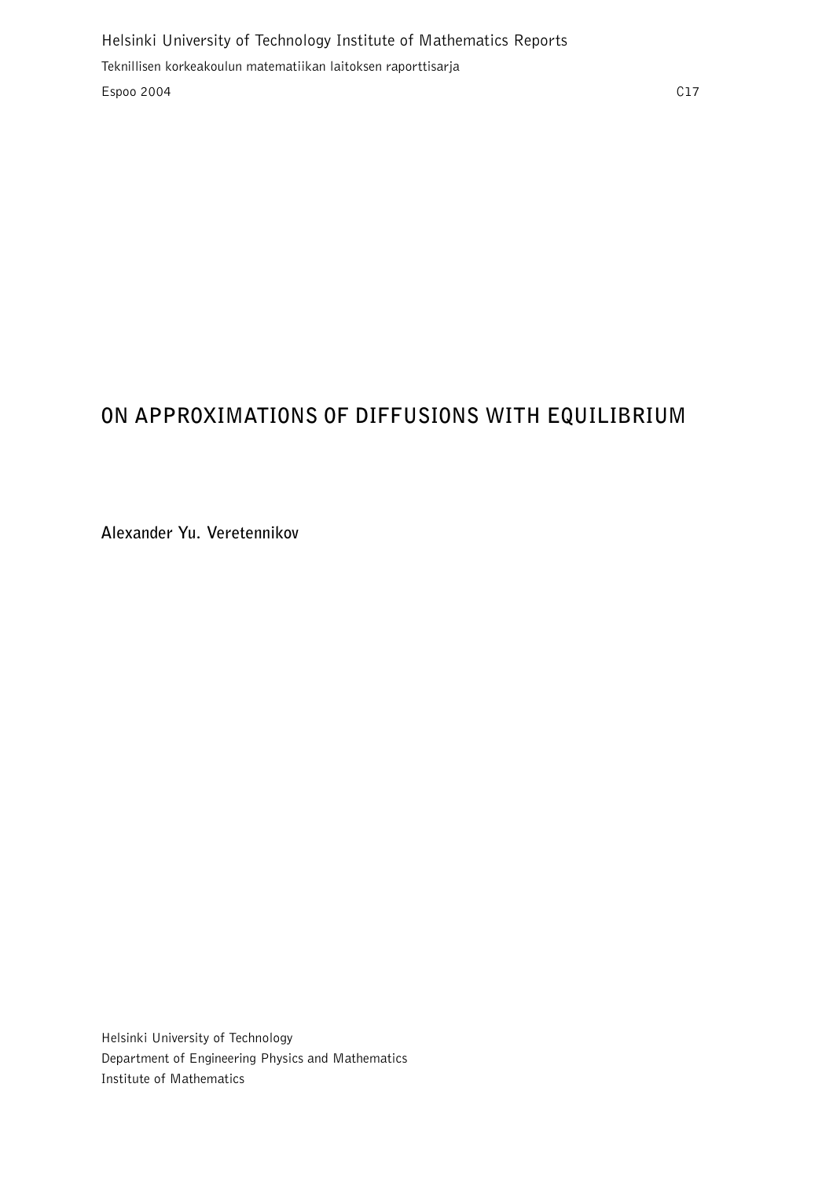## **ON APPROXIMATIONS OF DIFFUSIONS WITH EQUILIBRIUM**

**Alexander Yu. Veretennikov**

Helsinki University of Technology Department of Engineering Physics and Mathematics Institute of Mathematics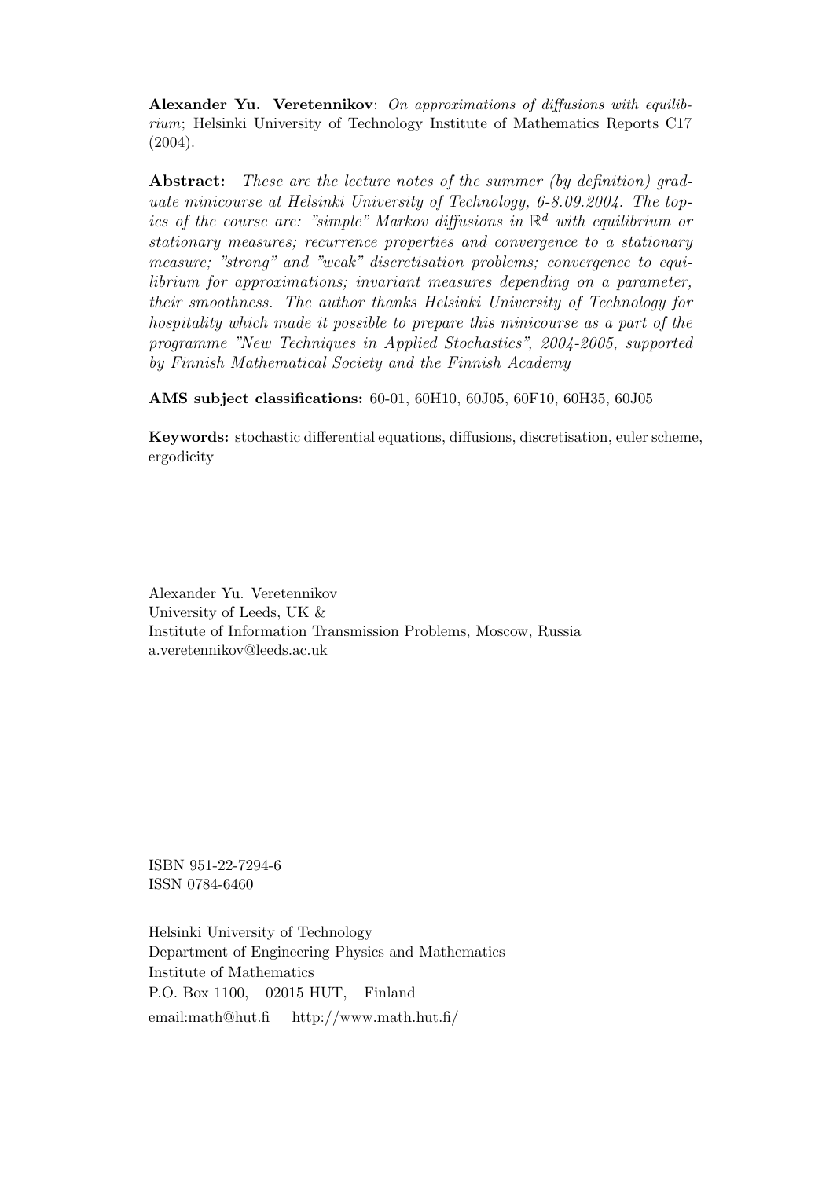Alexander Yu. Veretennikov: On approximations of diffusions with equilibrium; Helsinki University of Technology Institute of Mathematics Reports C17 (2004).

Abstract: These are the lecture notes of the summer (by definition) graduate minicourse at Helsinki University of Technology, 6-8.09.2004. The topics of the course are: "simple" Markov diffusions in  $\mathbb{R}^d$  with equilibrium or stationary measures; recurrence properties and convergence to a stationary measure; "strong" and "weak" discretisation problems; convergence to equilibrium for approximations; invariant measures depending on a parameter, their smoothness. The author thanks Helsinki University of Technology for hospitality which made it possible to prepare this minicourse as a part of the programme "New Techniques in Applied Stochastics", 2004-2005, supported by Finnish Mathematical Society and the Finnish Academy

AMS subject classifications: 60-01, 60H10, 60J05, 60F10, 60H35, 60J05

Keywords: stochastic differential equations, diffusions, discretisation, euler scheme, ergodicity

Alexander Yu. Veretennikov University of Leeds, UK & Institute of Information Transmission Problems, Moscow, Russia a.veretennikov@leeds.ac.uk

ISBN 951-22-7294-6 ISSN 0784-6460

Helsinki University of Technology Department of Engineering Physics and Mathematics Institute of Mathematics P.O. Box 1100, 02015 HUT, Finland email:math@hut.fi http://www.math.hut.fi/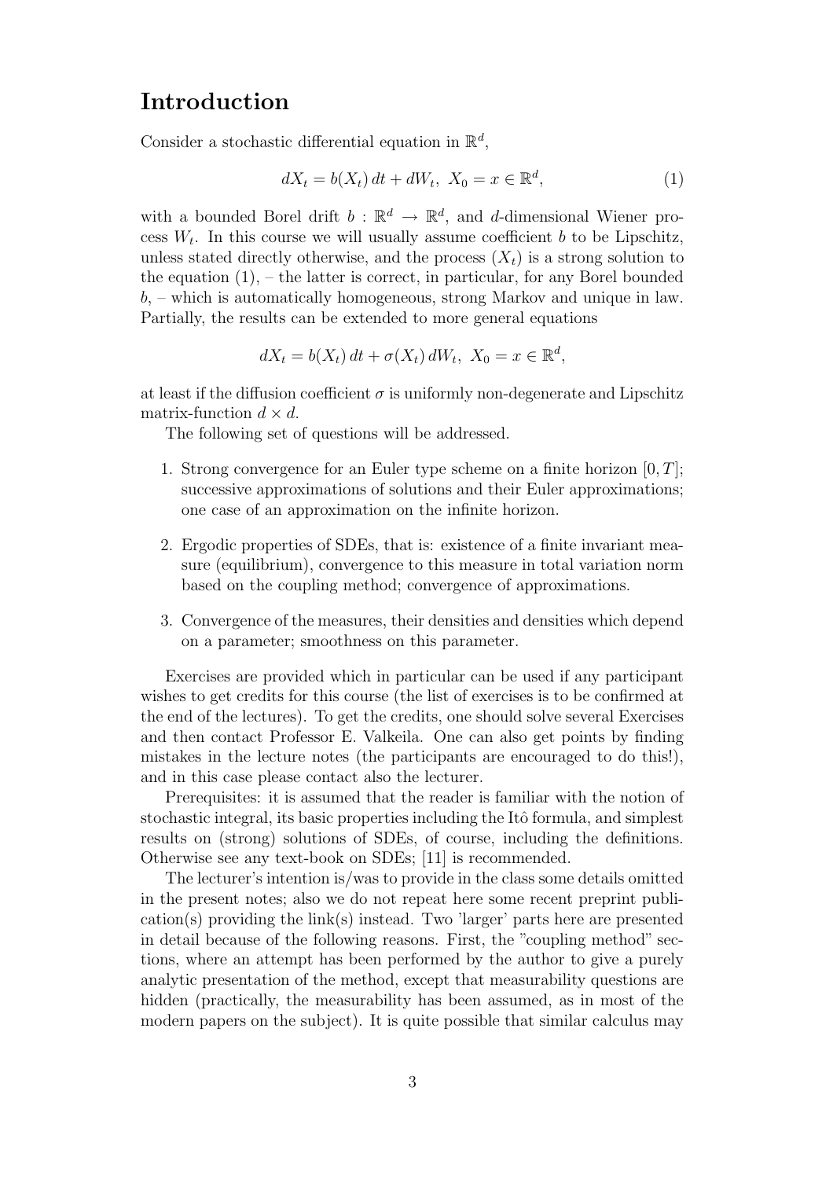## Introduction

Consider a stochastic differential equation in  $\mathbb{R}^d$ ,

$$
dX_t = b(X_t) dt + dW_t, \ X_0 = x \in \mathbb{R}^d,
$$
 (1)

with a bounded Borel drift  $b : \mathbb{R}^d \to \mathbb{R}^d$ , and d-dimensional Wiener process  $W_t$ . In this course we will usually assume coefficient b to be Lipschitz, unless stated directly otherwise, and the process  $(X_t)$  is a strong solution to the equation  $(1)$ , – the latter is correct, in particular, for any Borel bounded b, – which is automatically homogeneous, strong Markov and unique in law. Partially, the results can be extended to more general equations

$$
dX_t = b(X_t) dt + \sigma(X_t) dW_t, \ X_0 = x \in \mathbb{R}^d,
$$

at least if the diffusion coefficient  $\sigma$  is uniformly non-degenerate and Lipschitz matrix-function  $d \times d$ .

The following set of questions will be addressed.

- 1. Strong convergence for an Euler type scheme on a finite horizon  $[0, T]$ ; successive approximations of solutions and their Euler approximations; one case of an approximation on the infinite horizon.
- 2. Ergodic properties of SDEs, that is: existence of a finite invariant measure (equilibrium), convergence to this measure in total variation norm based on the coupling method; convergence of approximations.
- 3. Convergence of the measures, their densities and densities which depend on a parameter; smoothness on this parameter.

Exercises are provided which in particular can be used if any participant wishes to get credits for this course (the list of exercises is to be confirmed at the end of the lectures). To get the credits, one should solve several Exercises and then contact Professor E. Valkeila. One can also get points by finding mistakes in the lecture notes (the participants are encouraged to do this!), and in this case please contact also the lecturer.

Prerequisites: it is assumed that the reader is familiar with the notion of stochastic integral, its basic properties including the Itô formula, and simplest results on (strong) solutions of SDEs, of course, including the definitions. Otherwise see any text-book on SDEs; [11] is recommended.

The lecturer's intention is/was to provide in the class some details omitted in the present notes; also we do not repeat here some recent preprint publication(s) providing the link(s) instead. Two 'larger' parts here are presented in detail because of the following reasons. First, the "coupling method" sections, where an attempt has been performed by the author to give a purely analytic presentation of the method, except that measurability questions are hidden (practically, the measurability has been assumed, as in most of the modern papers on the subject). It is quite possible that similar calculus may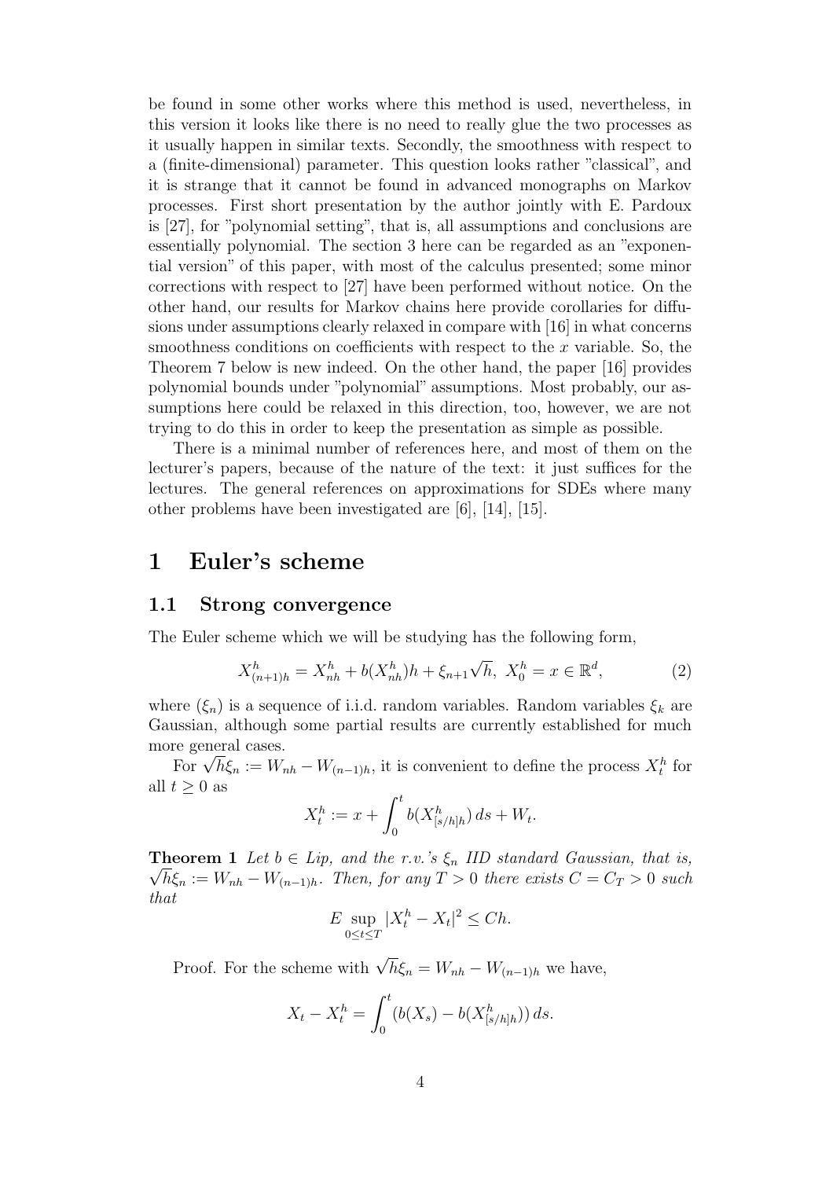be found in some other works where this method is used, nevertheless, in this version it looks like there is no need to really glue the two processes as it usually happen in similar texts. Secondly, the smoothness with respect to a (finite-dimensional) parameter. This question looks rather "classical", and it is strange that it cannot be found in advanced monographs on Markov processes. First short presentation by the author jointly with E. Pardoux is [27], for "polynomial setting", that is, all assumptions and conclusions are essentially polynomial. The section 3 here can be regarded as an "exponential version" of this paper, with most of the calculus presented; some minor corrections with respect to [27] have been performed without notice. On the other hand, our results for Markov chains here provide corollaries for diffusions under assumptions clearly relaxed in compare with [16] in what concerns smoothness conditions on coefficients with respect to the  $x$  variable. So, the Theorem 7 below is new indeed. On the other hand, the paper [16] provides polynomial bounds under "polynomial" assumptions. Most probably, our assumptions here could be relaxed in this direction, too, however, we are not trying to do this in order to keep the presentation as simple as possible.

There is a minimal number of references here, and most of them on the lecturer's papers, because of the nature of the text: it just suffices for the lectures. The general references on approximations for SDEs where many other problems have been investigated are [6], [14], [15].

### 1 Euler's scheme

#### 1.1 Strong convergence

The Euler scheme which we will be studying has the following form,

$$
X_{(n+1)h}^h = X_{nh}^h + b(X_{nh}^h)h + \xi_{n+1}\sqrt{h}, \ X_0^h = x \in \mathbb{R}^d,
$$
 (2)

where  $(\xi_n)$  is a sequence of i.i.d. random variables. Random variables  $\xi_k$  are Gaussian, although some partial results are currently established for much more general cases.

For  $\sqrt{h}\xi_n := W_{nh} - W_{(n-1)h}$ , it is convenient to define the process  $X_t^h$  for all  $t > 0$  as

$$
X_t^h := x + \int_0^t b(X_{[s/h]h}^h) \, ds + W_t.
$$

 $\sqrt{h}\xi_n := W_{nh} - W_{(n-1)h}$ . Then, for any  $T > 0$  there exists  $C = C_T > 0$  such **Theorem 1** Let  $b \in Lip$ , and the r.v.'s  $\xi_n$  IID standard Gaussian, that is, that

$$
E \sup_{0 \le t \le T} |X_t^h - X_t|^2 \le Ch.
$$

Proof. For the scheme with  $\sqrt{h}\xi_n = W_{nh} - W_{(n-1)h}$  we have,

$$
X_t - X_t^h = \int_0^t (b(X_s) - b(X_{[s/h]h}^h)) ds.
$$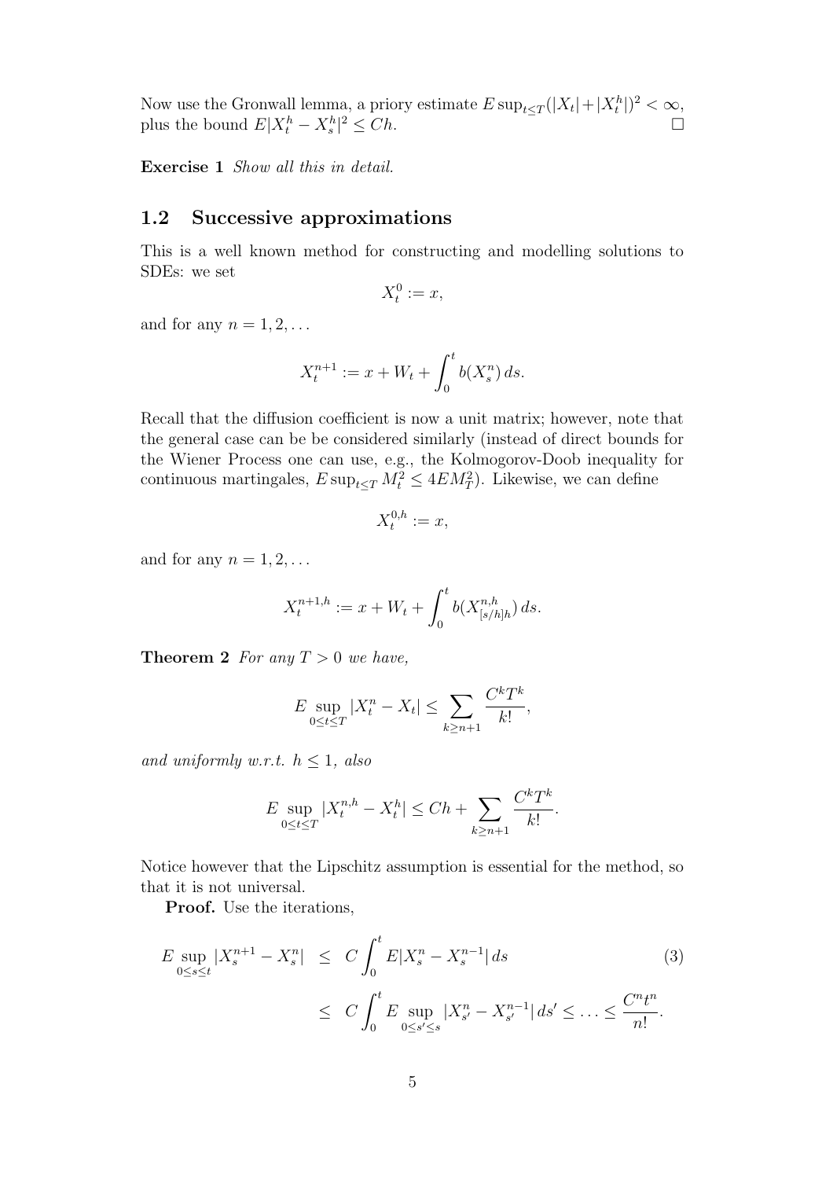Now use the Gronwall lemma, a priory estimate  $E \sup_{t \leq T} (|X_t| + |X_t^h|)^2 < \infty$ , plus the bound  $E|X_t^h - X_s^h|^2 \le Ch$ .

Exercise 1 Show all this in detail.

#### 1.2 Successive approximations

This is a well known method for constructing and modelling solutions to SDEs: we set

$$
X_t^0 := x,
$$

and for any  $n = 1, 2, \ldots$ 

$$
X_t^{n+1} := x + W_t + \int_0^t b(X_s^n) \, ds.
$$

Recall that the diffusion coefficient is now a unit matrix; however, note that the general case can be be considered similarly (instead of direct bounds for the Wiener Process one can use, e.g., the Kolmogorov-Doob inequality for continuous martingales,  $E \sup_{t \leq T} M_t^2 \leq 4EM_T^2$ . Likewise, we can define

$$
X_t^{0,h} := x,
$$

and for any  $n = 1, 2, \ldots$ 

$$
X_t^{n+1,h} := x + W_t + \int_0^t b(X_{[s/h]h}^{n,h}) ds.
$$

**Theorem 2** For any  $T > 0$  we have,

$$
E \sup_{0 \le t \le T} |X_t^n - X_t| \le \sum_{k \ge n+1} \frac{C^k T^k}{k!},
$$

and uniformly w.r.t.  $h \leq 1$ , also

$$
E \sup_{0 \le t \le T} |X_t^{n,h} - X_t^h| \le Ch + \sum_{k \ge n+1} \frac{C^k T^k}{k!}.
$$

Notice however that the Lipschitz assumption is essential for the method, so that it is not universal.

Proof. Use the iterations,

$$
E \sup_{0 \le s \le t} |X_s^{n+1} - X_s^n| \le C \int_0^t E|X_s^n - X_s^{n-1}| ds \qquad (3)
$$
  

$$
\le C \int_0^t E \sup_{0 \le s' \le s} |X_{s'}^n - X_{s'}^{n-1}| ds' \le \dots \le \frac{C^n t^n}{n!}.
$$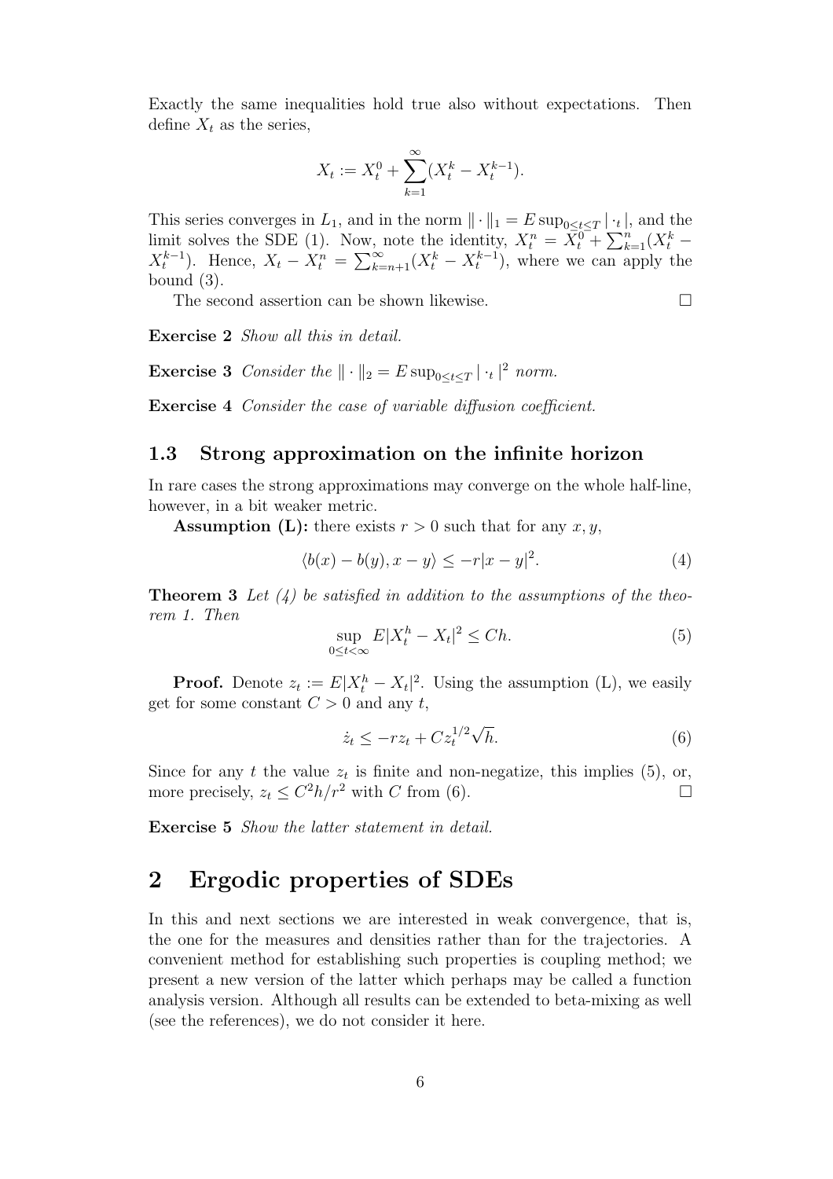Exactly the same inequalities hold true also without expectations. Then define  $X_t$  as the series,

$$
X_t := X_t^0 + \sum_{k=1}^{\infty} (X_t^k - X_t^{k-1}).
$$

This series converges in  $L_1$ , and in the norm  $\|\cdot\|_1 = E \sup_{0 \le t \le T} |\cdot_t|$ , and the limit solves the SDE (1). Now, note the identity,  $X_t^n = \overline{X}_t^{0} + \sum_{k=1}^n (X_t^k X_t^{k-1}$ ). Hence,  $X_t - X_t^n = \sum_{k=n+1}^{\infty} (X_t^k - X_t^{k-1})$ , where we can apply the bound (3).

The second assertion can be shown likewise.  $\Box$ 

Exercise 2 *Show all this in detail.* 

**Exercise 3** Consider the  $\|\cdot\|_2 = E \sup_{0 \le t \le T} |\cdot_t|^2$  norm.

Exercise 4 Consider the case of variable diffusion coefficient.

### 1.3 Strong approximation on the infinite horizon

In rare cases the strong approximations may converge on the whole half-line, however, in a bit weaker metric.

**Assumption (L):** there exists  $r > 0$  such that for any  $x, y$ ,

$$
\langle b(x) - b(y), x - y \rangle \le -r|x - y|^2. \tag{4}
$$

**Theorem 3** Let  $\langle 4 \rangle$  be satisfied in addition to the assumptions of the theorem 1. Then

$$
\sup_{0 \le t < \infty} E|X_t^h - X_t|^2 \le Ch. \tag{5}
$$

**Proof.** Denote  $z_t := E|X_t^h - X_t|^2$ . Using the assumption (L), we easily get for some constant  $C > 0$  and any t,

$$
\dot{z}_t \le -rz_t + Cz_t^{1/2}\sqrt{h}.\tag{6}
$$

Since for any t the value  $z_t$  is finite and non-negatize, this implies (5), or, more precisely,  $z_t \leq C^2 h/r^2$  with C from (6).

Exercise 5 Show the latter statement in detail.

## 2 Ergodic properties of SDEs

In this and next sections we are interested in weak convergence, that is, the one for the measures and densities rather than for the trajectories. A convenient method for establishing such properties is coupling method; we present a new version of the latter which perhaps may be called a function analysis version. Although all results can be extended to beta-mixing as well (see the references), we do not consider it here.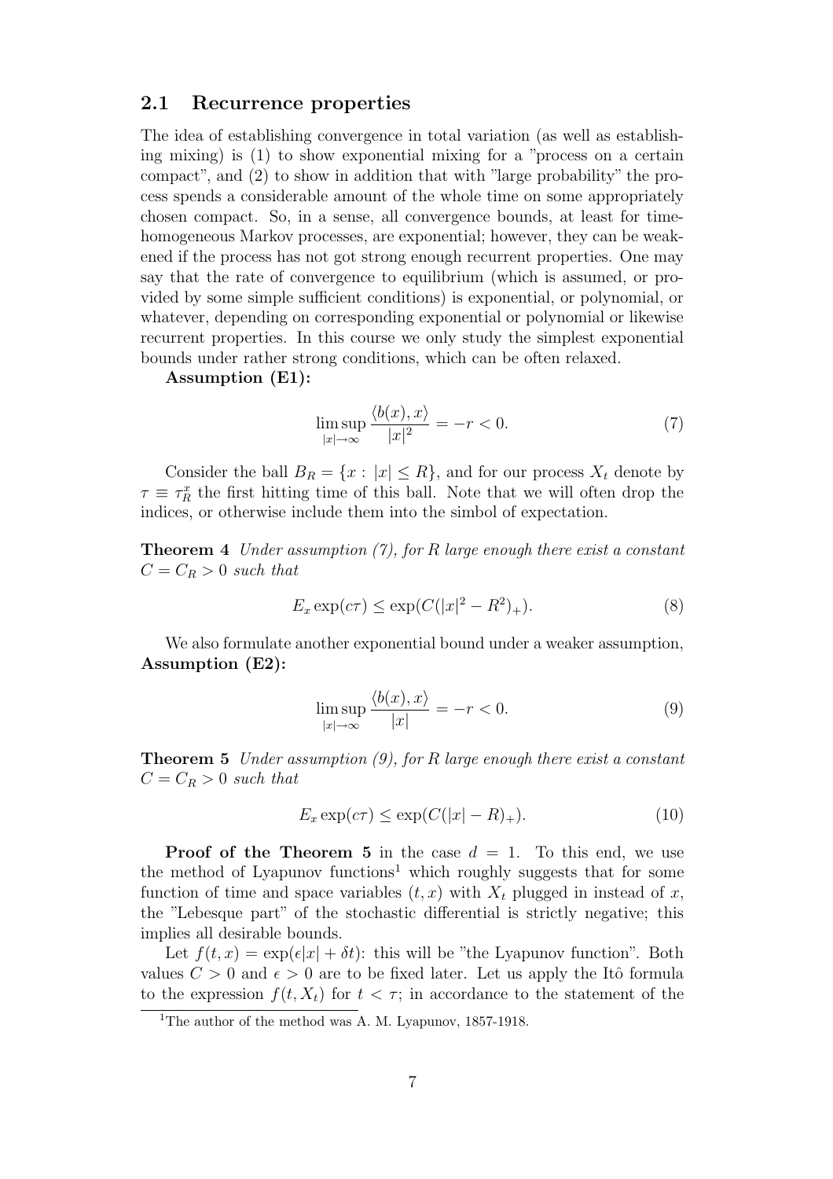#### 2.1 Recurrence properties

The idea of establishing convergence in total variation (as well as establishing mixing) is (1) to show exponential mixing for a "process on a certain compact", and (2) to show in addition that with "large probability" the process spends a considerable amount of the whole time on some appropriately chosen compact. So, in a sense, all convergence bounds, at least for timehomogeneous Markov processes, are exponential; however, they can be weakened if the process has not got strong enough recurrent properties. One may say that the rate of convergence to equilibrium (which is assumed, or provided by some simple sufficient conditions) is exponential, or polynomial, or whatever, depending on corresponding exponential or polynomial or likewise recurrent properties. In this course we only study the simplest exponential bounds under rather strong conditions, which can be often relaxed.

Assumption (E1):

$$
\limsup_{|x| \to \infty} \frac{\langle b(x), x \rangle}{|x|^2} = -r < 0. \tag{7}
$$

Consider the ball  $B_R = \{x : |x| \leq R\}$ , and for our process  $X_t$  denote by  $\tau \equiv \tau_R^x$  the first hitting time of this ball. Note that we will often drop the indices, or otherwise include them into the simbol of expectation.

**Theorem 4** Under assumption  $(7)$ , for R large enough there exist a constant  $C = C_R > 0$  such that

$$
E_x \exp(c\tau) \le \exp(C(|x|^2 - R^2)_+). \tag{8}
$$

We also formulate another exponential bound under a weaker assumption, Assumption (E2):

$$
\limsup_{|x| \to \infty} \frac{\langle b(x), x \rangle}{|x|} = -r < 0. \tag{9}
$$

**Theorem 5** Under assumption  $(9)$ , for R large enough there exist a constant  $C = C_R > 0$  such that

$$
E_x \exp(c\tau) \le \exp(C(|x| - R)_+). \tag{10}
$$

**Proof of the Theorem 5** in the case  $d = 1$ . To this end, we use the method of Lyapunov functions <sup>1</sup> which roughly suggests that for some function of time and space variables  $(t, x)$  with  $X_t$  plugged in instead of x, the "Lebesque part" of the stochastic differential is strictly negative; this implies all desirable bounds.

Let  $f(t, x) = \exp(\epsilon |x| + \delta t)$ : this will be "the Lyapunov function". Both values  $C > 0$  and  $\epsilon > 0$  are to be fixed later. Let us apply the Itô formula to the expression  $f(t, X_t)$  for  $t < \tau$ ; in accordance to the statement of the

<sup>&</sup>lt;sup>1</sup>The author of the method was A. M. Lyapunov, 1857-1918.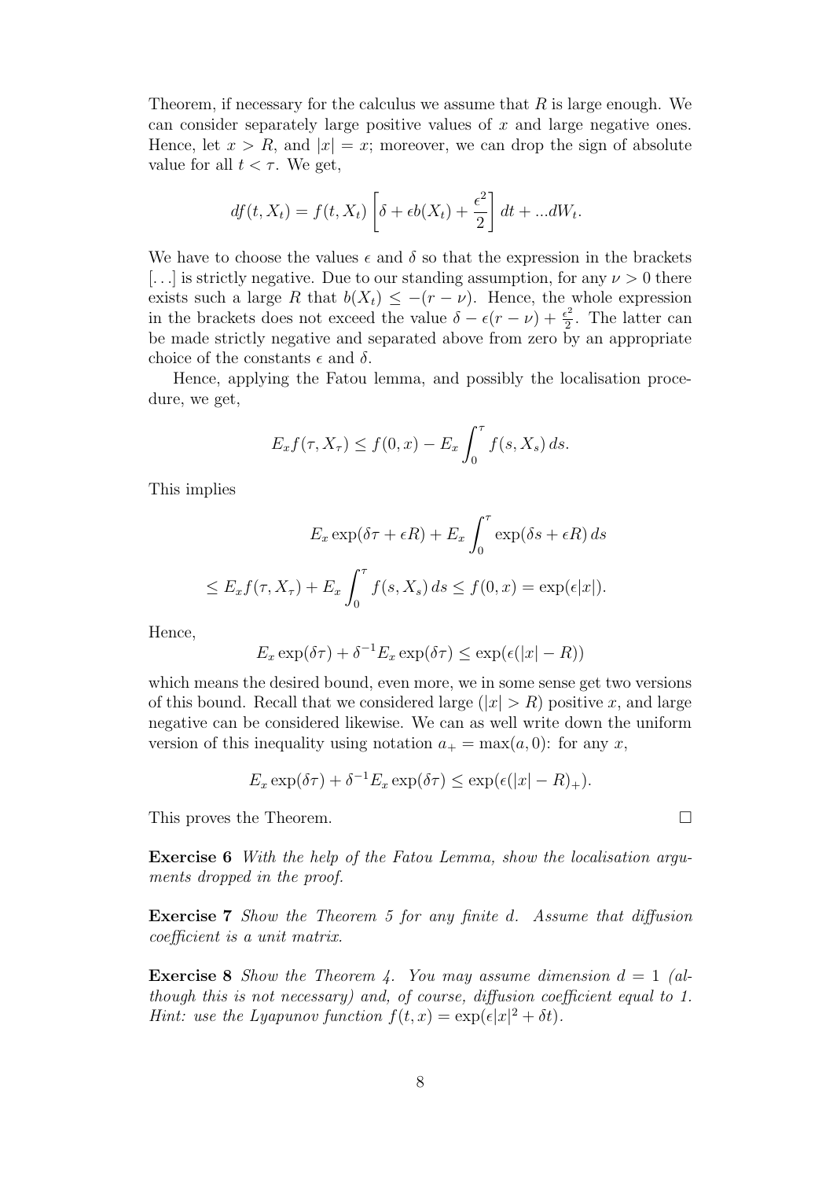Theorem, if necessary for the calculus we assume that  $R$  is large enough. We can consider separately large positive values of  $x$  and large negative ones. Hence, let  $x > R$ , and  $|x| = x$ ; moreover, we can drop the sign of absolute value for all  $t < \tau$ . We get,

$$
df(t, X_t) = f(t, X_t) \left[ \delta + \epsilon b(X_t) + \frac{\epsilon^2}{2} \right] dt + ... dW_t.
$$

We have to choose the values  $\epsilon$  and  $\delta$  so that the expression in the brackets [...] is strictly negative. Due to our standing assumption, for any  $\nu > 0$  there exists such a large R that  $b(X_t) \leq -(r - \nu)$ . Hence, the whole expression in the brackets does not exceed the value  $\delta - \epsilon (r - \nu) + \frac{\epsilon^2}{2}$  $\frac{1}{2}$ . The latter can be made strictly negative and separated above from zero by an appropriate choice of the constants  $\epsilon$  and  $\delta$ .

Hence, applying the Fatou lemma, and possibly the localisation procedure, we get,

$$
E_x f(\tau, X_\tau) \le f(0, x) - E_x \int_0^\tau f(s, X_s) ds.
$$

This implies

$$
E_x \exp(\delta \tau + \epsilon R) + E_x \int_0^{\tau} \exp(\delta s + \epsilon R) ds
$$
  

$$
\leq E_x f(\tau, X_\tau) + E_x \int_0^{\tau} f(s, X_s) ds \leq f(0, x) = \exp(\epsilon |x|).
$$

Hence,

$$
E_x \exp(\delta \tau) + \delta^{-1} E_x \exp(\delta \tau) \le \exp(\epsilon(|x| - R))
$$

which means the desired bound, even more, we in some sense get two versions of this bound. Recall that we considered large  $(|x| > R)$  positive x, and large negative can be considered likewise. We can as well write down the uniform version of this inequality using notation  $a_+ = \max(a, 0)$ : for any x,

$$
E_x \exp(\delta \tau) + \delta^{-1} E_x \exp(\delta \tau) \le \exp(\epsilon(|x| - R)_+).
$$

This proves the Theorem.  $\Box$ 

Exercise 6 With the help of the Fatou Lemma, show the localisation arguments dropped in the proof.

Exercise 7 Show the Theorem 5 for any finite d. Assume that diffusion coefficient is a unit matrix.

**Exercise 8** Show the Theorem 4. You may assume dimension  $d = 1$  (although this is not necessary) and, of course, diffusion coefficient equal to 1. *Hint:* use the Lyapunov function  $f(t, x) = \exp(\epsilon |x|^2 + \delta t)$ .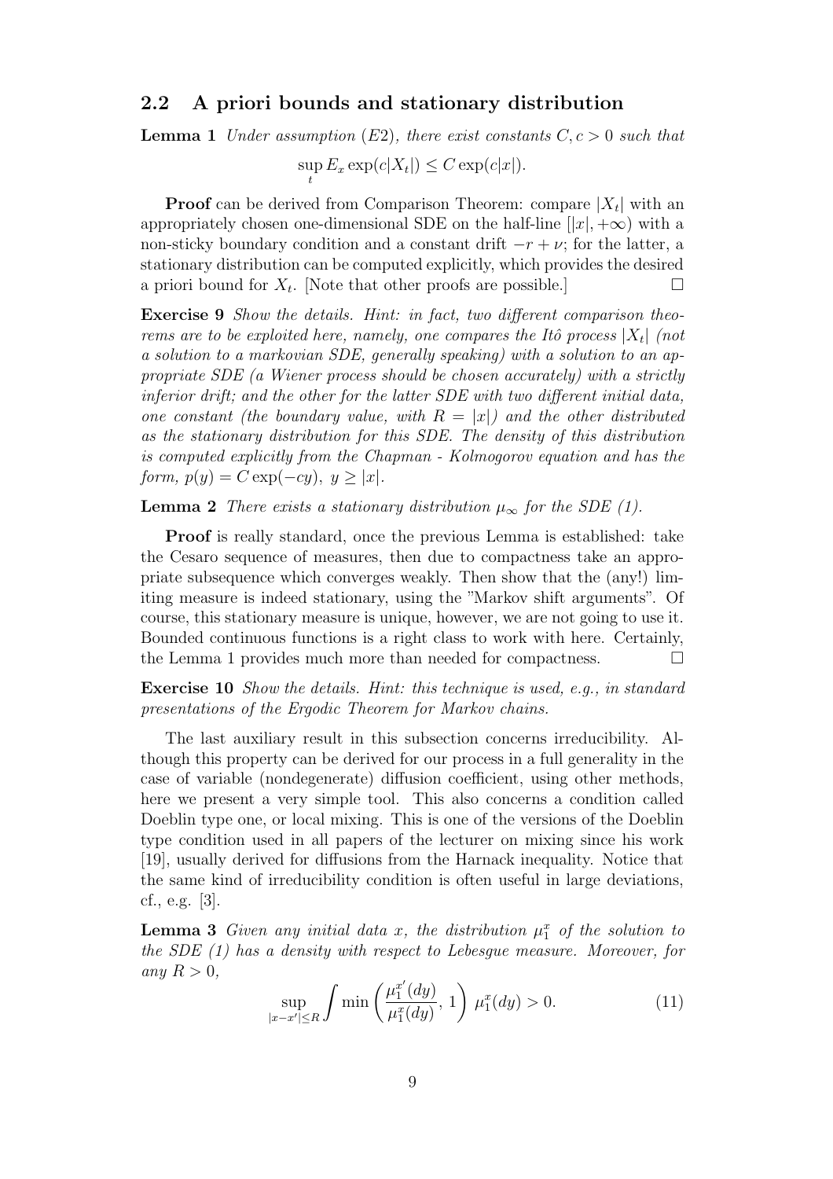#### 2.2 A priori bounds and stationary distribution

**Lemma 1** Under assumption (E2), there exist constants  $C, c > 0$  such that

sup  $\sup_t E_x \exp(c|X_t|) \leq C \exp(c|x|).$ 

**Proof** can be derived from Comparison Theorem: compare  $|X_t|$  with an appropriately chosen one-dimensional SDE on the half-line  $[|x|, +\infty)$  with a non-sticky boundary condition and a constant drift  $-r + \nu$ ; for the latter, a stationary distribution can be computed explicitly, which provides the desired a priori bound for  $X_t$ . [Note that other proofs are possible.]  $\Box$ 

Exercise 9 Show the details. Hint: in fact, two different comparison theorems are to be exploited here, namely, one compares the Itô process  $|X_t|$  (not a solution to a markovian SDE, generally speaking) with a solution to an appropriate SDE (a Wiener process should be chosen accurately) with a strictly inferior drift; and the other for the latter SDE with two different initial data, one constant (the boundary value, with  $R = |x|$ ) and the other distributed as the stationary distribution for this SDE. The density of this distribution is computed explicitly from the Chapman - Kolmogorov equation and has the form,  $p(y) = C \exp(-cy)$ ,  $y \geq |x|$ .

**Lemma 2** There exists a stationary distribution  $\mu_{\infty}$  for the SDE (1).

Proof is really standard, once the previous Lemma is established: take the Cesaro sequence of measures, then due to compactness take an appropriate subsequence which converges weakly. Then show that the (any!) limiting measure is indeed stationary, using the "Markov shift arguments". Of course, this stationary measure is unique, however, we are not going to use it. Bounded continuous functions is a right class to work with here. Certainly, the Lemma 1 provides much more than needed for compactness.  $\Box$ 

Exercise 10 Show the details. Hint: this technique is used, e.g., in standard presentations of the Ergodic Theorem for Markov chains.

The last auxiliary result in this subsection concerns irreducibility. Although this property can be derived for our process in a full generality in the case of variable (nondegenerate) diffusion coefficient, using other methods, here we present a very simple tool. This also concerns a condition called Doeblin type one, or local mixing. This is one of the versions of the Doeblin type condition used in all papers of the lecturer on mixing since his work [19], usually derived for diffusions from the Harnack inequality. Notice that the same kind of irreducibility condition is often useful in large deviations, cf., e.g. [3].

**Lemma 3** Given any initial data x, the distribution  $\mu_1^x$  of the solution to the SDE (1) has a density with respect to Lebesgue measure. Moreover, for any  $R > 0$ ,

$$
\sup_{|x-x'|\le R} \int \min\left(\frac{\mu_1^{x'}(dy)}{\mu_1^x(dy)}, 1\right) \mu_1^x(dy) > 0. \tag{11}
$$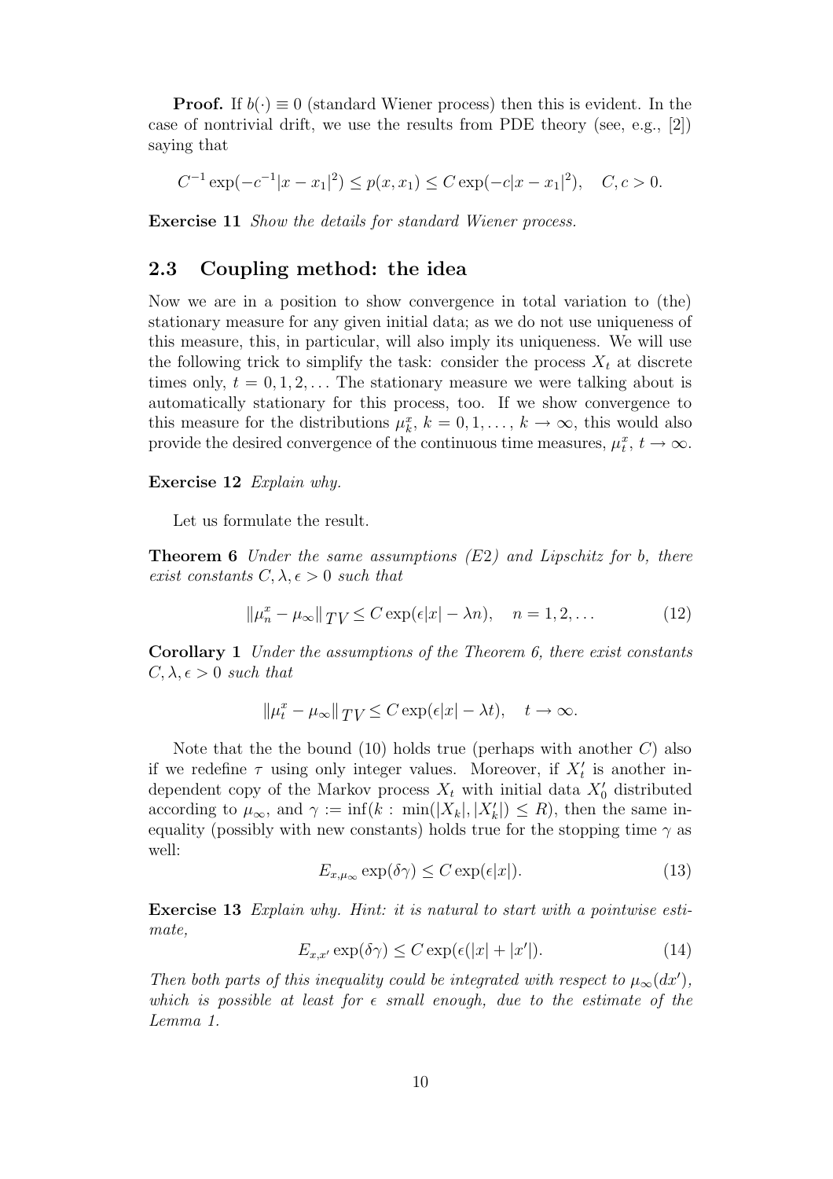**Proof.** If  $b(\cdot) \equiv 0$  (standard Wiener process) then this is evident. In the case of nontrivial drift, we use the results from PDE theory (see, e.g., [2]) saying that

$$
C^{-1} \exp(-c^{-1}|x - x_1|^2) \le p(x, x_1) \le C \exp(-c|x - x_1|^2), \quad C, c > 0.
$$

Exercise 11 Show the details for standard Wiener process.

### 2.3 Coupling method: the idea

Now we are in a position to show convergence in total variation to (the) stationary measure for any given initial data; as we do not use uniqueness of this measure, this, in particular, will also imply its uniqueness. We will use the following trick to simplify the task: consider the process  $X_t$  at discrete times only,  $t = 0, 1, 2, \ldots$  The stationary measure we were talking about is automatically stationary for this process, too. If we show convergence to this measure for the distributions  $\mu_k^x$ ,  $k = 0, 1, \ldots, k \to \infty$ , this would also provide the desired convergence of the continuous time measures,  $\mu_t^x$ ,  $t \to \infty$ .

#### Exercise 12 Explain why.

Let us formulate the result.

**Theorem 6** Under the same assumptions  $(E2)$  and Lipschitz for b, there exist constants  $C, \lambda, \epsilon > 0$  such that

$$
\|\mu_n^x - \mu_\infty\|_{TV} \le C \exp(\epsilon |x| - \lambda n), \quad n = 1, 2, \dots
$$
 (12)

Corollary 1 Under the assumptions of the Theorem 6, there exist constants  $C, \lambda, \epsilon > 0$  such that

$$
\|\mu_t^x - \mu_\infty\|_{TV} \le C \exp(\epsilon |x| - \lambda t), \quad t \to \infty.
$$

Note that the the bound  $(10)$  holds true (perhaps with another C) also if we redefine  $\tau$  using only integer values. Moreover, if  $X'_t$  is another independent copy of the Markov process  $X_t$  with initial data  $X'_0$  distributed according to  $\mu_{\infty}$ , and  $\gamma := \inf(k : \min(|X_k|, |X'_k|) \le R)$ , then the same inequality (possibly with new constants) holds true for the stopping time  $\gamma$  as well:

$$
E_{x,\mu_{\infty}} \exp(\delta \gamma) \le C \exp(\epsilon |x|). \tag{13}
$$

Exercise 13 Explain why. Hint: it is natural to start with a pointwise estimate,

$$
E_{x,x'} \exp(\delta \gamma) \le C \exp(\epsilon(|x| + |x'|)). \tag{14}
$$

Then both parts of this inequality could be integrated with respect to  $\mu_{\infty}(dx')$ , which is possible at least for  $\epsilon$  small enough, due to the estimate of the Lemma 1.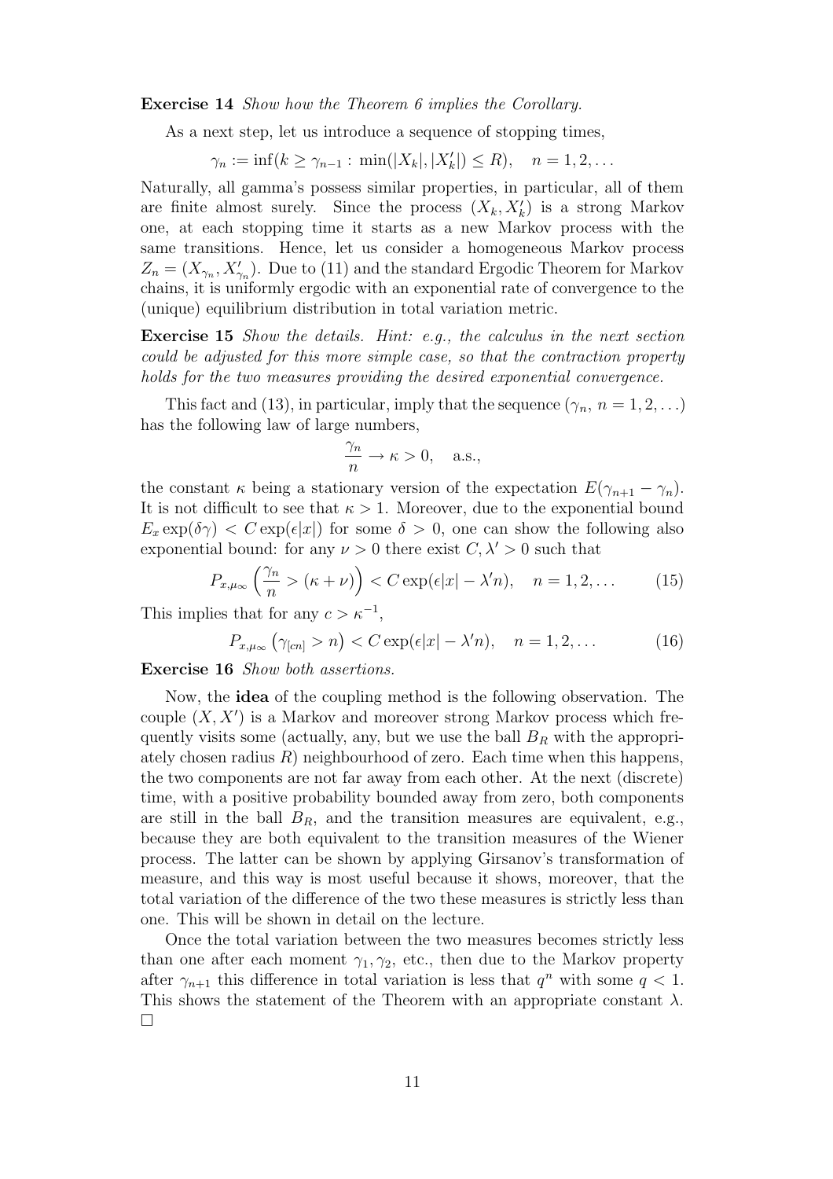Exercise 14 Show how the Theorem 6 implies the Corollary.

As a next step, let us introduce a sequence of stopping times,

 $\gamma_n := \inf(k \ge \gamma_{n-1} : \min(|X_k|, |X'_k|) \le R), \quad n = 1, 2, \dots$ 

Naturally, all gamma's possess similar properties, in particular, all of them are finite almost surely. Since the process  $(X_k, X'_k)$  is a strong Markov one, at each stopping time it starts as a new Markov process with the same transitions. Hence, let us consider a homogeneous Markov process  $Z_n = (X_{\gamma_n}, X'_{\gamma_n})$ . Due to (11) and the standard Ergodic Theorem for Markov chains, it is uniformly ergodic with an exponential rate of convergence to the (unique) equilibrium distribution in total variation metric.

**Exercise 15** Show the details. Hint: e.g., the calculus in the next section could be adjusted for this more simple case, so that the contraction property holds for the two measures providing the desired exponential convergence.

This fact and (13), in particular, imply that the sequence  $(\gamma_n, n = 1, 2, ...)$ has the following law of large numbers,

$$
\frac{\gamma_n}{n} \to \kappa > 0, \quad \text{a.s.},
$$

the constant  $\kappa$  being a stationary version of the expectation  $E(\gamma_{n+1} - \gamma_n)$ . It is not difficult to see that  $\kappa > 1$ . Moreover, due to the exponential bound  $E_x \exp(\delta \gamma) < C \exp(\epsilon |x|)$  for some  $\delta > 0$ , one can show the following also exponential bound: for any  $\nu > 0$  there exist  $C, \lambda' > 0$  such that

$$
P_{x,\mu_{\infty}}\left(\frac{\gamma_n}{n} > (\kappa + \nu)\right) < C \exp(\epsilon |x| - \lambda' n), \quad n = 1, 2, \dots \tag{15}
$$

This implies that for any  $c > \kappa^{-1}$ ,

$$
P_{x,\mu_{\infty}}\left(\gamma_{[cn]} > n\right) < C \exp(\epsilon|x| - \lambda' n), \quad n = 1, 2, \dots \tag{16}
$$

Exercise 16 Show both assertions.

Now, the idea of the coupling method is the following observation. The couple  $(X, X')$  is a Markov and moreover strong Markov process which frequently visits some (actually, any, but we use the ball  $B_R$  with the appropriately chosen radius  $R$ ) neighbourhood of zero. Each time when this happens, the two components are not far away from each other. At the next (discrete) time, with a positive probability bounded away from zero, both components are still in the ball  $B_R$ , and the transition measures are equivalent, e.g., because they are both equivalent to the transition measures of the Wiener process. The latter can be shown by applying Girsanov's transformation of measure, and this way is most useful because it shows, moreover, that the total variation of the difference of the two these measures is strictly less than one. This will be shown in detail on the lecture.

Once the total variation between the two measures becomes strictly less than one after each moment  $\gamma_1, \gamma_2$ , etc., then due to the Markov property after  $\gamma_{n+1}$  this difference in total variation is less that  $q^n$  with some  $q < 1$ . This shows the statement of the Theorem with an appropriate constant  $\lambda$ . ¤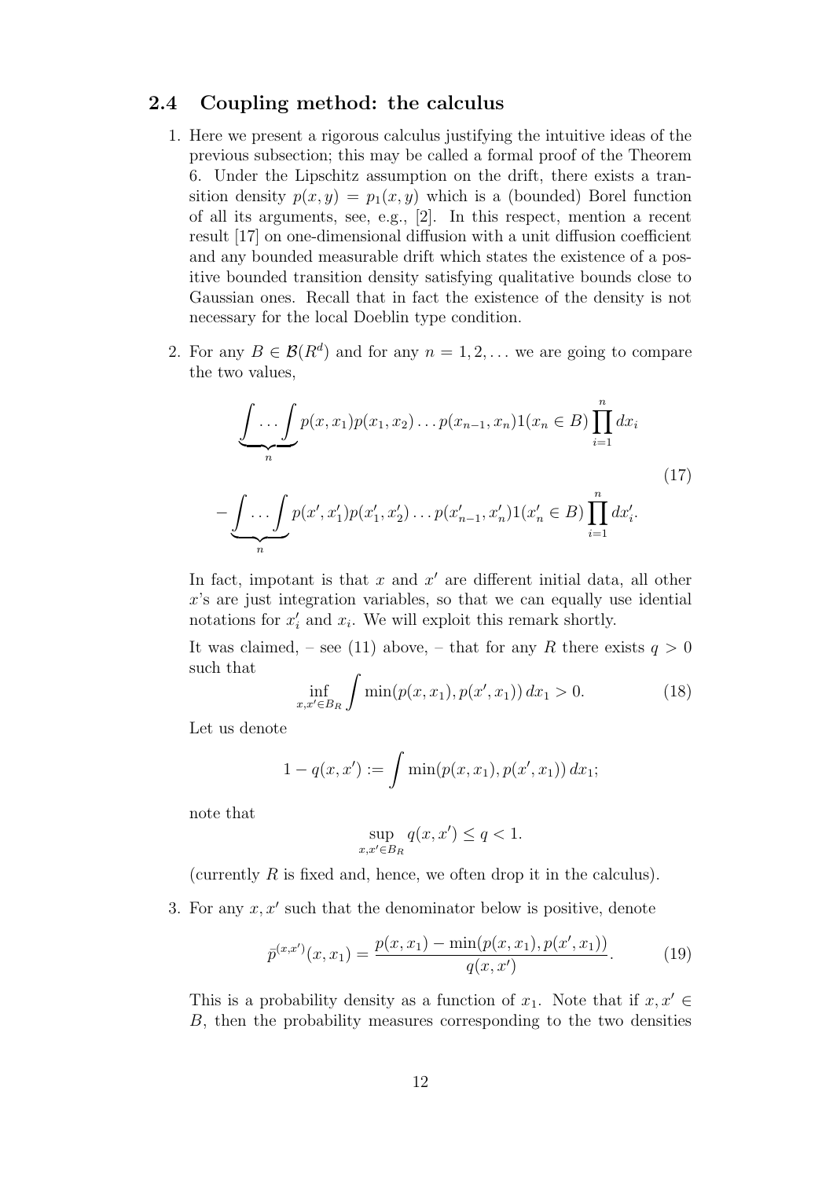#### 2.4 Coupling method: the calculus

- 1. Here we present a rigorous calculus justifying the intuitive ideas of the previous subsection; this may be called a formal proof of the Theorem 6. Under the Lipschitz assumption on the drift, there exists a transition density  $p(x, y) = p_1(x, y)$  which is a (bounded) Borel function of all its arguments, see, e.g., [2]. In this respect, mention a recent result [17] on one-dimensional diffusion with a unit diffusion coefficient and any bounded measurable drift which states the existence of a positive bounded transition density satisfying qualitative bounds close to Gaussian ones. Recall that in fact the existence of the density is not necessary for the local Doeblin type condition.
- 2. For any  $B \in \mathcal{B}(R^d)$  and for any  $n = 1, 2, \ldots$  we are going to compare the two values,

$$
\underbrace{\int \dots \int}_{n} p(x, x_1) p(x_1, x_2) \dots p(x_{n-1}, x_n) 1(x_n \in B) \prod_{i=1}^{n} dx_i}_{\text{(17)}} = \underbrace{\int \dots \int}_{n} p(x', x'_1) p(x'_1, x'_2) \dots p(x'_{n-1}, x'_n) 1(x'_n \in B) \prod_{i=1}^{n} dx'_i.
$$

In fact, impotant is that  $x$  and  $x'$  are different initial data, all other  $x$ 's are just integration variables, so that we can equally use idential notations for  $x'_i$  and  $x_i$ . We will exploit this remark shortly.

It was claimed, – see (11) above, – that for any R there exists  $q > 0$ such that

$$
\inf_{x,x'\in B_R} \int \min(p(x,x_1), p(x',x_1)) dx_1 > 0.
$$
 (18)

Let us denote

$$
1 - q(x, x') := \int \min(p(x, x_1), p(x', x_1)) dx_1;
$$

note that

$$
\sup_{x,x'\in B_R} q(x,x') \le q < 1.
$$

(currently  $R$  is fixed and, hence, we often drop it in the calculus).

3. For any  $x, x'$  such that the denominator below is positive, denote

$$
\bar{p}^{(x,x')}(x,x_1) = \frac{p(x,x_1) - \min(p(x,x_1), p(x',x_1))}{q(x,x')}.
$$
\n(19)

This is a probability density as a function of  $x_1$ . Note that if  $x, x' \in$ B, then the probability measures corresponding to the two densities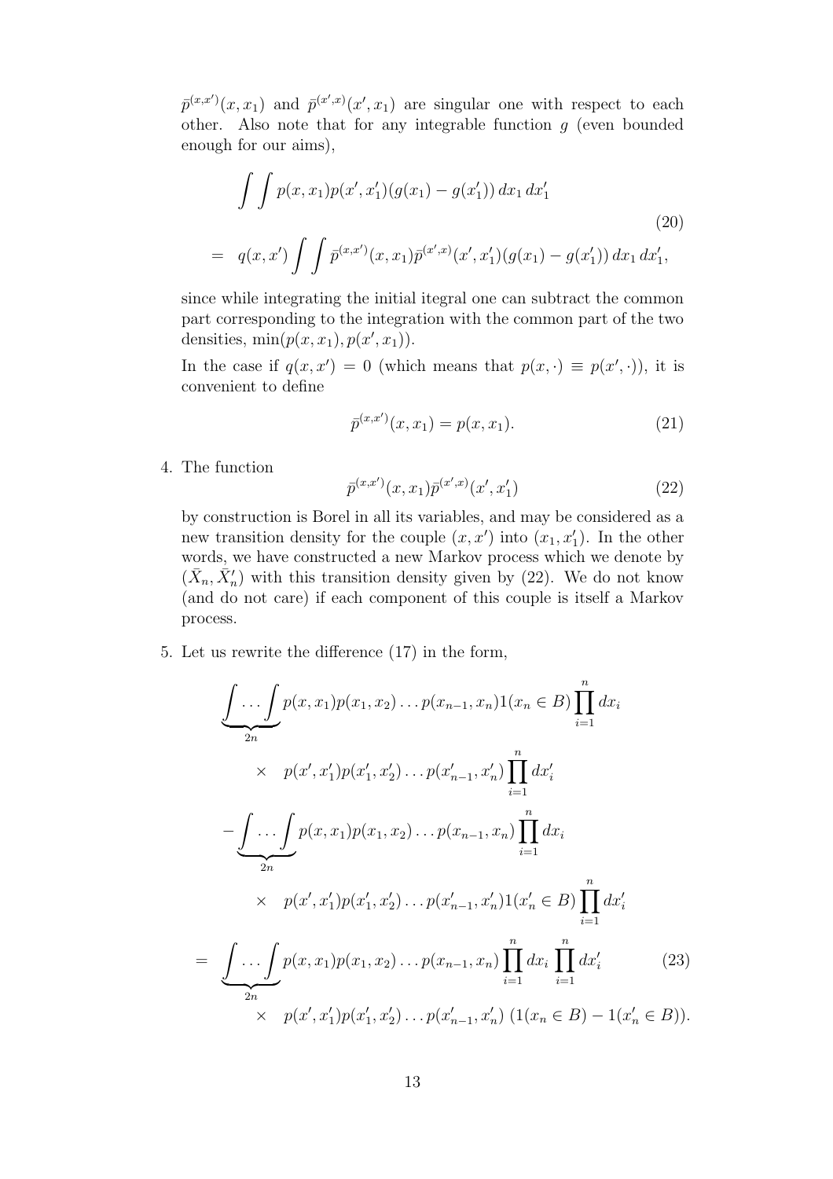$\bar{p}^{(x,x')}(x,x_1)$  and  $\bar{p}^{(x',x)}(x',x_1)$  are singular one with respect to each other. Also note that for any integrable function  $g$  (even bounded enough for our aims),

$$
\int \int p(x, x_1) p(x', x'_1) (g(x_1) - g(x'_1)) dx_1 dx'_1
$$
\n
$$
= q(x, x') \int \int \bar{p}^{(x, x')} (x, x_1) \bar{p}^{(x', x)}(x', x'_1) (g(x_1) - g(x'_1)) dx_1 dx'_1,
$$
\n(20)

since while integrating the initial itegral one can subtract the common part corresponding to the integration with the common part of the two densities,  $min(p(x, x_1), p(x', x_1)).$ 

In the case if  $q(x, x') = 0$  (which means that  $p(x, \cdot) \equiv p(x', \cdot)$ ), it is convenient to define

$$
\bar{p}^{(x,x')}(x,x_1) = p(x,x_1). \tag{21}
$$

4. The function

$$
\bar{p}^{(x,x')}(x,x_1)\bar{p}^{(x',x)}(x',x_1')\tag{22}
$$

by construction is Borel in all its variables, and may be considered as a new transition density for the couple  $(x, x')$  into  $(x_1, x'_1)$ . In the other words, we have constructed a new Markov process which we denote by  $(\bar{X}_n, \bar{X}'_n)$  with this transition density given by (22). We do not know (and do not care) if each component of this couple is itself a Markov process.

5. Let us rewrite the difference (17) in the form,

$$
\underbrace{\int \ldots \int}_{2n} p(x, x_1) p(x_1, x_2) \ldots p(x_{n-1}, x_n) 1(x_n \in B) \prod_{i=1}^n dx_i}_{\times p(x', x'_1) p(x'_1, x'_2) \ldots p(x'_{n-1}, x'_n) \prod_{i=1}^n dx'_i
$$
\n
$$
-\underbrace{\int \ldots \int}_{2n} p(x, x_1) p(x_1, x_2) \ldots p(x_{n-1}, x_n) \prod_{i=1}^n dx_i}_{\times p(x', x'_1) p(x'_1, x'_2) \ldots p(x'_{n-1}, x'_n) 1(x'_n \in B) \prod_{i=1}^n dx'_i
$$
\n
$$
= \underbrace{\int \ldots \int_{2n} p(x, x_1) p(x_1, x_2) \ldots p(x_{n-1}, x_n) \prod_{i=1}^n dx_i \prod_{i=1}^n dx'_i}_{\times p(x', x'_1) p(x'_1, x'_2) \ldots p(x'_{n-1}, x'_n) (1(x_n \in B) - 1(x'_n \in B)).
$$
\n(23)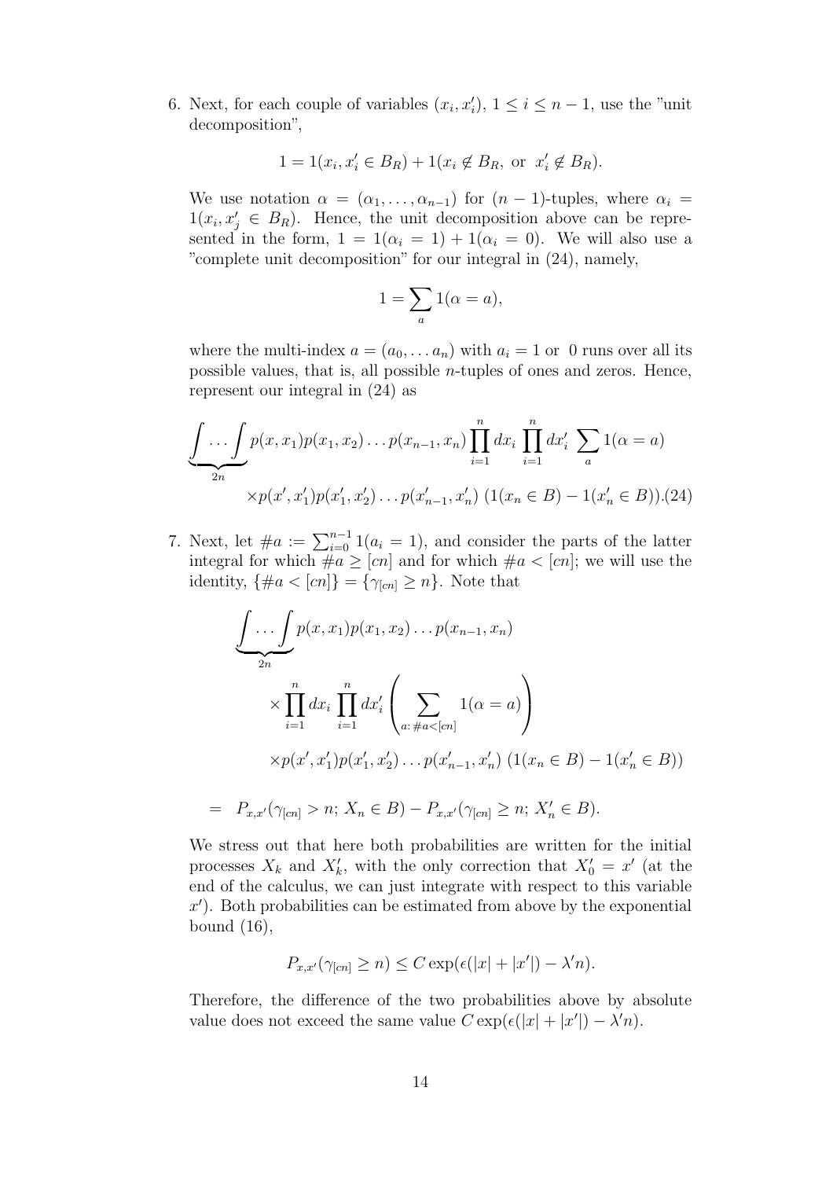6. Next, for each couple of variables  $(x_i, x'_i)$ ,  $1 \leq i \leq n-1$ , use the "unit" decomposition",

$$
1 = 1(x_i, x'_i \in B_R) + 1(x_i \notin B_R)
$$
, or  $x'_i \notin B_R$ ).

We use notation  $\alpha = (\alpha_1, \ldots, \alpha_{n-1})$  for  $(n-1)$ -tuples, where  $\alpha_i =$  $1(x_i, x'_j \in B_R)$ . Hence, the unit decomposition above can be represented in the form,  $1 = 1(\alpha_i = 1) + 1(\alpha_i = 0)$ . We will also use a "complete unit decomposition" for our integral in (24), namely,

$$
1 = \sum_{a} 1(\alpha = a),
$$

where the multi-index  $a = (a_0, \dots a_n)$  with  $a_i = 1$  or 0 runs over all its possible values, that is, all possible n-tuples of ones and zeros. Hence, represent our integral in (24) as

$$
\underbrace{\int \dots \int}_{2n} p(x, x_1) p(x_1, x_2) \dots p(x_{n-1}, x_n) \prod_{i=1}^n dx_i \prod_{i=1}^n dx'_i \sum_a 1(\alpha = a)
$$
  
 
$$
\times p(x', x'_1) p(x'_1, x'_2) \dots p(x'_{n-1}, x'_n) (1(x_n \in B) - 1(x'_n \in B)).(24)
$$

7. Next, let  $\#a := \sum_{i=0}^{n-1} 1(a_i = 1)$ , and consider the parts of the latter integral for which  $\#a \geq [cn]$  and for which  $\#a < [cn]$ ; we will use the identity,  $\{\#a < [cn]\} = \{\gamma_{[cn]} \geq n\}$ . Note that

$$
\underbrace{\int \dots \int}_{2n} p(x, x_1) p(x_1, x_2) \dots p(x_{n-1}, x_n)
$$
\n
$$
\times \prod_{i=1}^n dx_i \prod_{i=1}^n dx'_i \left( \sum_{a:\#a < [cn]} 1(\alpha = a) \right)
$$
\n
$$
\times p(x', x'_1) p(x'_1, x'_2) \dots p(x'_{n-1}, x'_n) \left( 1(x_n \in B) - 1(x'_n \in B) \right)
$$
\n
$$
= P_{x,x'}(\gamma_{[cn]} > n; X_n \in B) - P_{x,x'}(\gamma_{[cn]} \ge n; X'_n \in B).
$$

We stress out that here both probabilities are written for the initial processes  $X_k$  and  $X'_k$ , with the only correction that  $X'_0 = x'$  (at the end of the calculus, we can just integrate with respect to this variable  $x'$ ). Both probabilities can be estimated from above by the exponential bound (16),

$$
P_{x,x'}(\gamma_{[cn]} \ge n) \le C \exp(\epsilon(|x|+|x'|) - \lambda' n).
$$

Therefore, the difference of the two probabilities above by absolute value does not exceed the same value  $C \exp(\epsilon(|x| + |x'|) - \lambda' n)$ .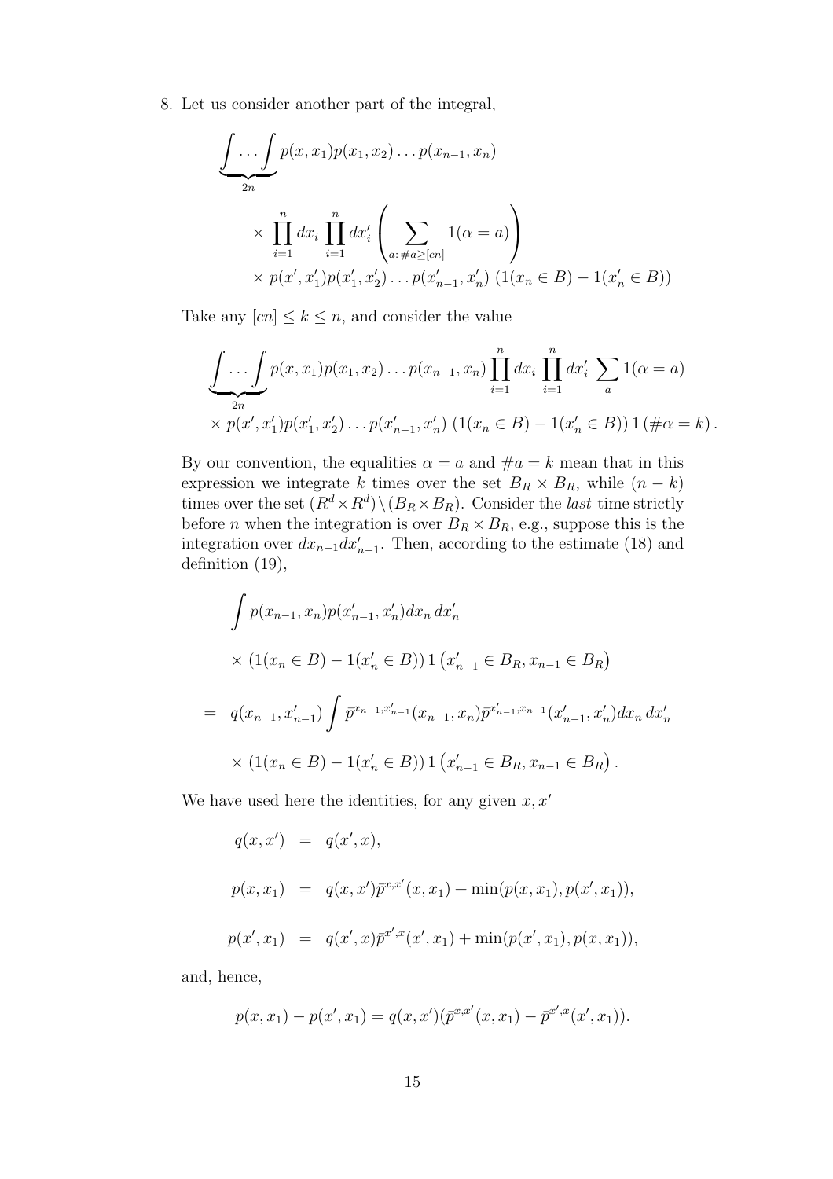8. Let us consider another part of the integral,

$$
\underbrace{\int \dots \int}_{2n} p(x, x_1) p(x_1, x_2) \dots p(x_{n-1}, x_n)
$$
\n
$$
\times \prod_{i=1}^{n} dx_i \prod_{i=1}^{n} dx'_i \left( \sum_{a: \#a \geq [cn]} 1(\alpha = a) \right)
$$
\n
$$
\times p(x', x'_1) p(x'_1, x'_2) \dots p(x'_{n-1}, x'_n) (1(x_n \in B) - 1(x'_n \in B))
$$

Take any  $[cn] \leq k \leq n$ , and consider the value

$$
\underbrace{\int \ldots \int}_{2n} p(x, x_1) p(x_1, x_2) \ldots p(x_{n-1}, x_n) \prod_{i=1}^n dx_i \prod_{i=1}^n dx'_i \sum_a 1(\alpha = a)
$$
\n
$$
\times p(x', x'_1) p(x'_1, x'_2) \ldots p(x'_{n-1}, x'_n) (1(x_n \in B) - 1(x'_n \in B)) 1 (\# \alpha = k).
$$

By our convention, the equalities  $\alpha = a$  and  $\#a = k$  mean that in this expression we integrate k times over the set  $B_R \times B_R$ , while  $(n - k)$ times over the set  $(R^d \times R^d) \setminus (B_R \times B_R)$ . Consider the *last* time strictly before *n* when the integration is over  $B_R \times B_R$ , e.g., suppose this is the integration over  $dx_{n-1}dx'_{n-1}$ . Then, according to the estimate (18) and definition (19),

$$
\int p(x_{n-1}, x_n) p(x'_{n-1}, x'_n) dx_n dx'_n
$$
  
\n
$$
\times (1(x_n \in B) - 1(x'_n \in B)) 1 (x'_{n-1} \in B_R, x_{n-1} \in B_R)
$$
  
\n
$$
= q(x_{n-1}, x'_{n-1}) \int \bar{p}^{x_{n-1}, x'_{n-1}} (x_{n-1}, x_n) \bar{p}^{x'_{n-1}, x_{n-1}} (x'_{n-1}, x'_n) dx_n dx'_n
$$
  
\n
$$
\times (1(x_n \in B) - 1(x'_n \in B)) 1 (x'_{n-1} \in B_R, x_{n-1} \in B_R).
$$

We have used here the identities, for any given  $x, x'$ 

$$
q(x, x') = q(x', x),
$$
  
\n
$$
p(x, x_1) = q(x, x')\overline{p}^{x, x'}(x, x_1) + \min(p(x, x_1), p(x', x_1)),
$$
  
\n
$$
p(x', x_1) = q(x', x)\overline{p}^{x', x}(x', x_1) + \min(p(x', x_1), p(x, x_1)),
$$

and, hence,

$$
p(x, x_1) - p(x', x_1) = q(x, x')(\bar{p}^{x, x'}(x, x_1) - \bar{p}^{x', x}(x', x_1)).
$$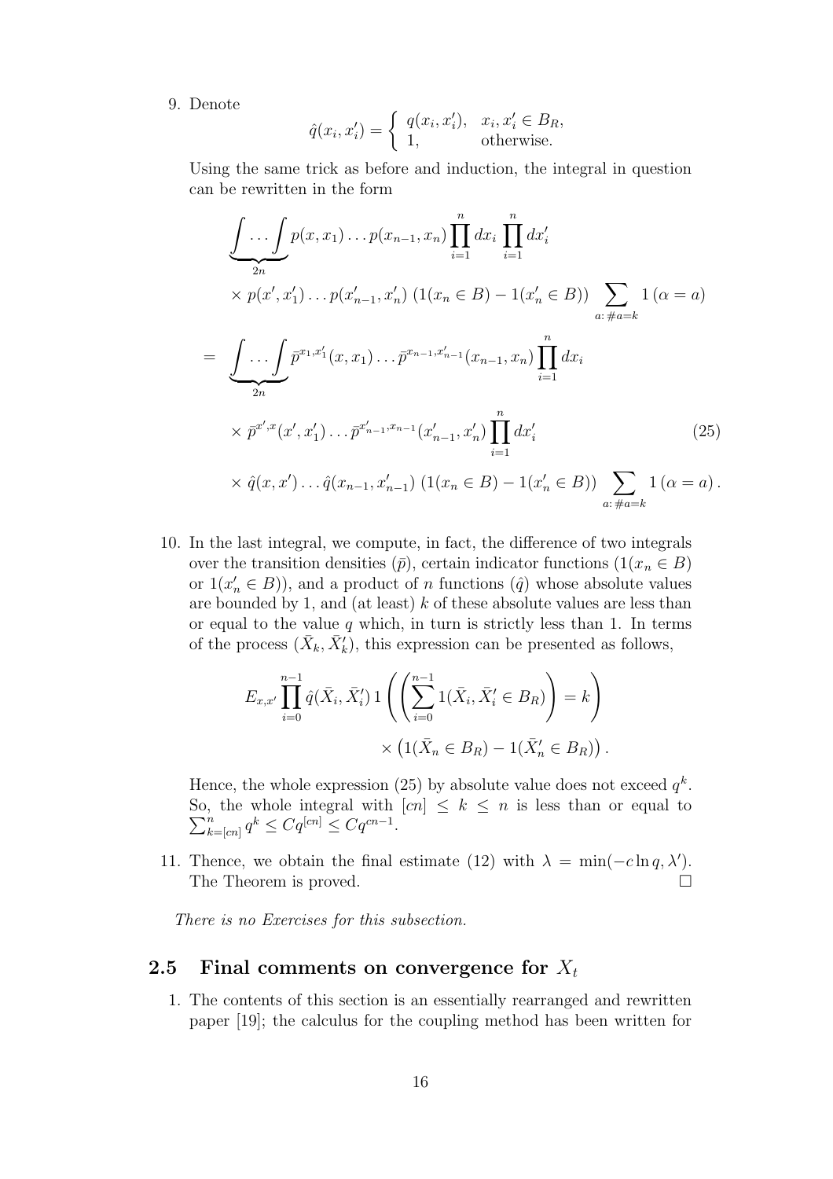9. Denote

$$
\hat{q}(x_i, x'_i) = \begin{cases} q(x_i, x'_i), & x_i, x'_i \in B_R, \\ 1, & \text{otherwise.} \end{cases}
$$

Using the same trick as before and induction, the integral in question can be rewritten in the form

$$
\underbrace{\int \dots \int}_{2n} p(x, x_1) \dots p(x_{n-1}, x_n) \prod_{i=1}^n dx_i \prod_{i=1}^n dx'_i}_{\times p(x', x'_1) \dots p(x'_{n-1}, x'_n) \ (1(x_n \in B) - 1(x'_n \in B)) \sum_{a: \#a=k} 1 (\alpha = a)
$$
\n
$$
= \underbrace{\int \dots \int}_{2n} \bar{p}^{x_1, x'_1}(x, x_1) \dots \bar{p}^{x_{n-1}, x'_{n-1}}(x_{n-1}, x_n) \prod_{i=1}^n dx_i}_{\times \bar{p}^{x', x}(x', x'_1) \dots \bar{p}^{x'_{n-1}, x_{n-1}}(x'_{n-1}, x'_n) \prod_{i=1}^n dx'_i}_{\times \hat{q}(x, x') \dots \hat{q}(x_{n-1}, x'_{n-1}) \ (1(x_n \in B) - 1(x'_n \in B)) \sum_{a: \#a=k} 1 (\alpha = a).
$$
\n(25)

10. In the last integral, we compute, in fact, the difference of two integrals over the transition densities  $(\bar{p})$ , certain indicator functions  $(1(x_n \in B))$ or  $1(x'_n \in B)$ , and a product of *n* functions  $(\hat{q})$  whose absolute values are bounded by 1, and (at least)  $k$  of these absolute values are less than or equal to the value  $q$  which, in turn is strictly less than 1. In terms of the process  $(\bar{X}_k, \bar{X}'_k)$ , this expression can be presented as follows,

$$
E_{x,x'} \prod_{i=0}^{n-1} \hat{q}(\bar{X}_i, \bar{X}'_i) \, 1 \left( \left( \sum_{i=0}^{n-1} 1(\bar{X}_i, \bar{X}'_i \in B_R) \right) = k \right) \times \left( 1(\bar{X}_n \in B_R) - 1(\bar{X}'_n \in B_R) \right).
$$

Hence, the whole expression (25) by absolute value does not exceed  $q^k$ .  $\sum$ So, the whole integral with  $[cn] \leq k \leq n$  is less than or equal to  $\sum_{k=0}^{n} k \leq C_{\alpha}[cn] \leq C_{\alpha}[cn]$  $\sum_{k=[cn]}^{n} q^k \leq Cq^{[cn]} \leq Cq^{cn-1}.$ 

11. Thence, we obtain the final estimate (12) with  $\lambda = \min(-c \ln q, \lambda')$ . The Theorem is proved.  $\Box$ 

There is no Exercises for this subsection.

#### 2.5 Final comments on convergence for  $X_t$

1. The contents of this section is an essentially rearranged and rewritten paper [19]; the calculus for the coupling method has been written for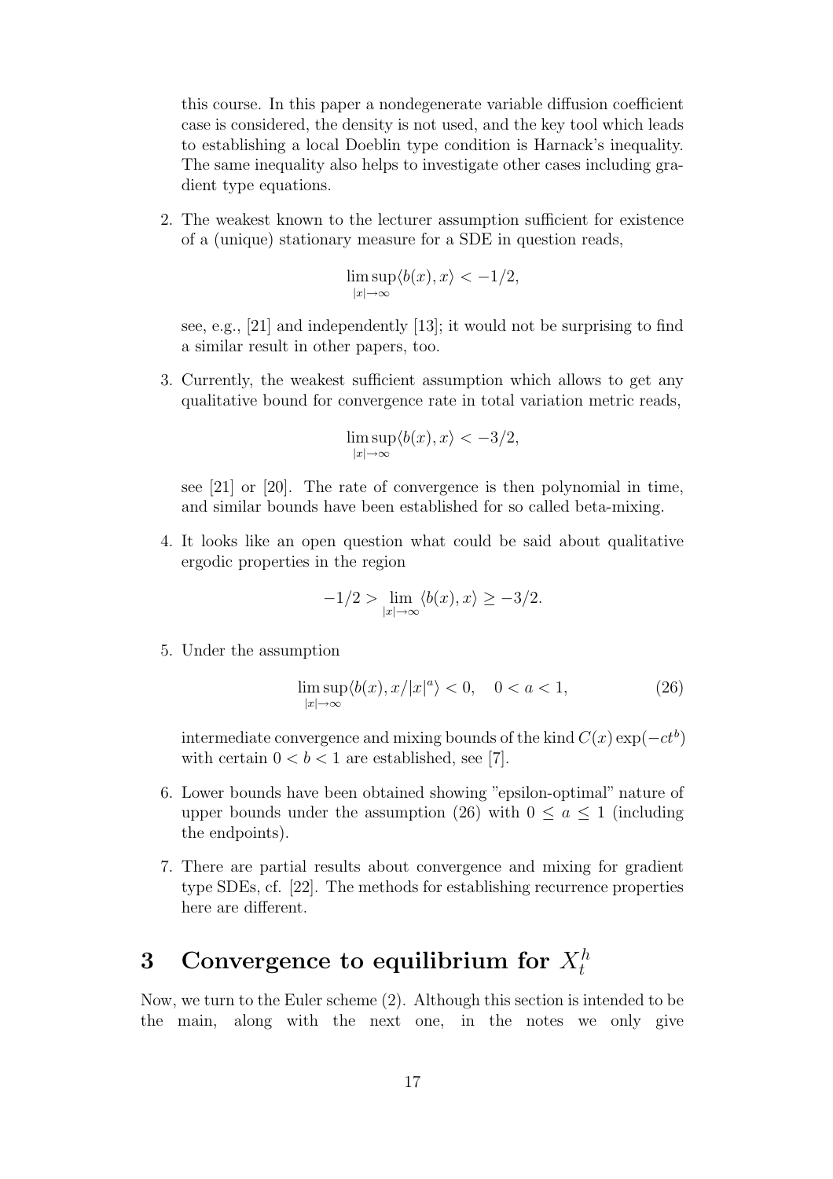this course. In this paper a nondegenerate variable diffusion coefficient case is considered, the density is not used, and the key tool which leads to establishing a local Doeblin type condition is Harnack's inequality. The same inequality also helps to investigate other cases including gradient type equations.

2. The weakest known to the lecturer assumption sufficient for existence of a (unique) stationary measure for a SDE in question reads,

$$
\limsup_{|x| \to \infty} \langle b(x), x \rangle < -1/2,
$$

see, e.g., [21] and independently [13]; it would not be surprising to find a similar result in other papers, too.

3. Currently, the weakest sufficient assumption which allows to get any qualitative bound for convergence rate in total variation metric reads,

$$
\limsup_{|x| \to \infty} \langle b(x), x \rangle < -3/2,
$$

see [21] or [20]. The rate of convergence is then polynomial in time, and similar bounds have been established for so called beta-mixing.

4. It looks like an open question what could be said about qualitative ergodic properties in the region

$$
-1/2 > \lim_{|x|\to\infty} \langle b(x), x \rangle \ge -3/2.
$$

5. Under the assumption

$$
\limsup_{|x| \to \infty} \langle b(x), x/|x|^a \rangle < 0, \quad 0 < a < 1,\tag{26}
$$

intermediate convergence and mixing bounds of the kind  $C(x) \exp(-ct^b)$ with certain  $0 < b < 1$  are established, see [7].

- 6. Lower bounds have been obtained showing "epsilon-optimal" nature of upper bounds under the assumption (26) with  $0 \le a \le 1$  (including the endpoints).
- 7. There are partial results about convergence and mixing for gradient type SDEs, cf. [22]. The methods for establishing recurrence properties here are different.

# 3 Convergence to equilibrium for  $X_t^h$

Now, we turn to the Euler scheme (2). Although this section is intended to be the main, along with the next one, in the notes we only give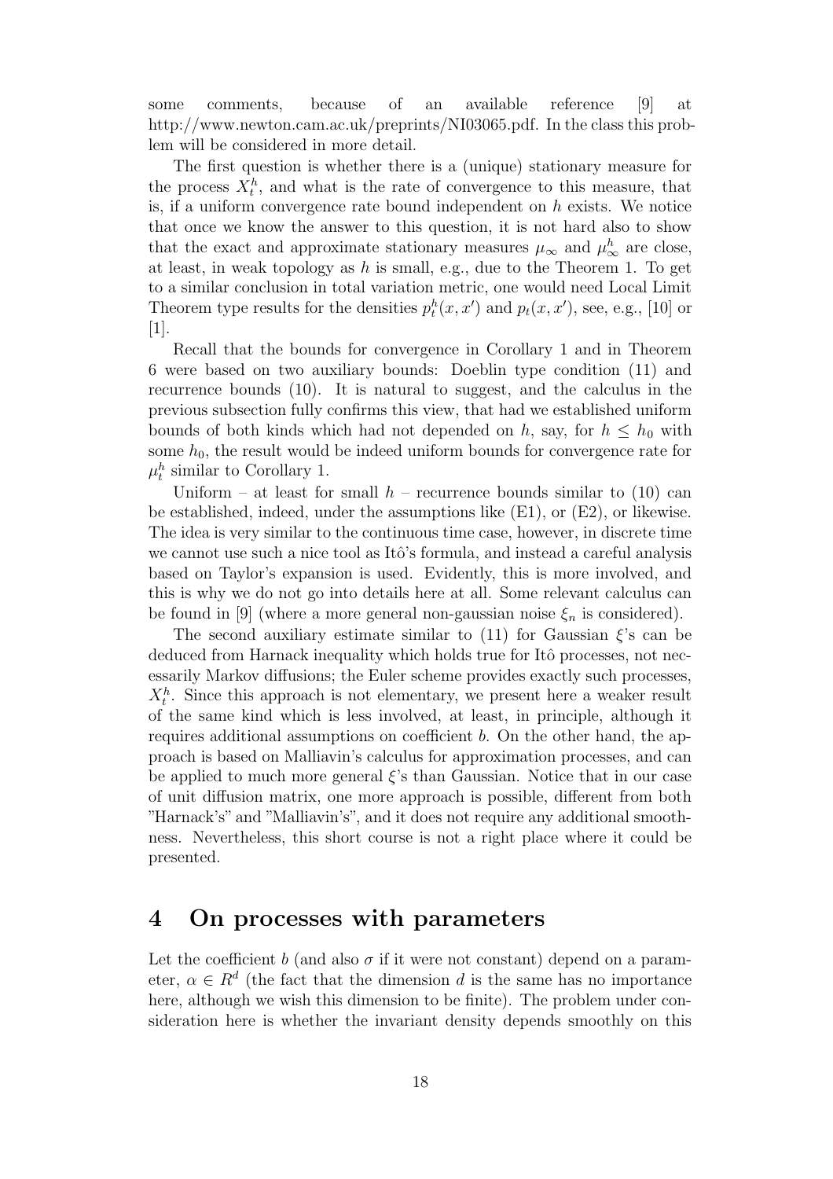some comments, because of an available reference [9] at http://www.newton.cam.ac.uk/preprints/NI03065.pdf. In the class this problem will be considered in more detail.

The first question is whether there is a (unique) stationary measure for the process  $X_t^h$ , and what is the rate of convergence to this measure, that is, if a uniform convergence rate bound independent on  $h$  exists. We notice that once we know the answer to this question, it is not hard also to show that the exact and approximate stationary measures  $\mu_{\infty}$  and  $\mu_{\infty}^{h}$  are close, at least, in weak topology as  $h$  is small, e.g., due to the Theorem 1. To get to a similar conclusion in total variation metric, one would need Local Limit Theorem type results for the densities  $p_t^h(x, x')$  and  $p_t(x, x')$ , see, e.g., [10] or [1].

Recall that the bounds for convergence in Corollary 1 and in Theorem 6 were based on two auxiliary bounds: Doeblin type condition (11) and recurrence bounds (10). It is natural to suggest, and the calculus in the previous subsection fully confirms this view, that had we established uniform bounds of both kinds which had not depended on h, say, for  $h \leq h_0$  with some  $h_0$ , the result would be indeed uniform bounds for convergence rate for  $\mu_t^h$  similar to Corollary 1.

Uniform – at least for small  $h$  – recurrence bounds similar to (10) can be established, indeed, under the assumptions like  $(E1)$ , or  $(E2)$ , or likewise. The idea is very similar to the continuous time case, however, in discrete time we cannot use such a nice tool as Itô's formula, and instead a careful analysis based on Taylor's expansion is used. Evidently, this is more involved, and this is why we do not go into details here at all. Some relevant calculus can be found in [9] (where a more general non-gaussian noise  $\xi_n$  is considered).

The second auxiliary estimate similar to (11) for Gaussian  $\xi$ 's can be deduced from Harnack inequality which holds true for Itô processes, not necessarily Markov diffusions; the Euler scheme provides exactly such processes,  $X_t^h$ . Since this approach is not elementary, we present here a weaker result of the same kind which is less involved, at least, in principle, although it requires additional assumptions on coefficient b. On the other hand, the approach is based on Malliavin's calculus for approximation processes, and can be applied to much more general  $\xi$ 's than Gaussian. Notice that in our case of unit diffusion matrix, one more approach is possible, different from both "Harnack's" and "Malliavin's", and it does not require any additional smoothness. Nevertheless, this short course is not a right place where it could be presented.

## 4 On processes with parameters

Let the coefficient b (and also  $\sigma$  if it were not constant) depend on a parameter,  $\alpha \in \mathbb{R}^d$  (the fact that the dimension d is the same has no importance here, although we wish this dimension to be finite). The problem under consideration here is whether the invariant density depends smoothly on this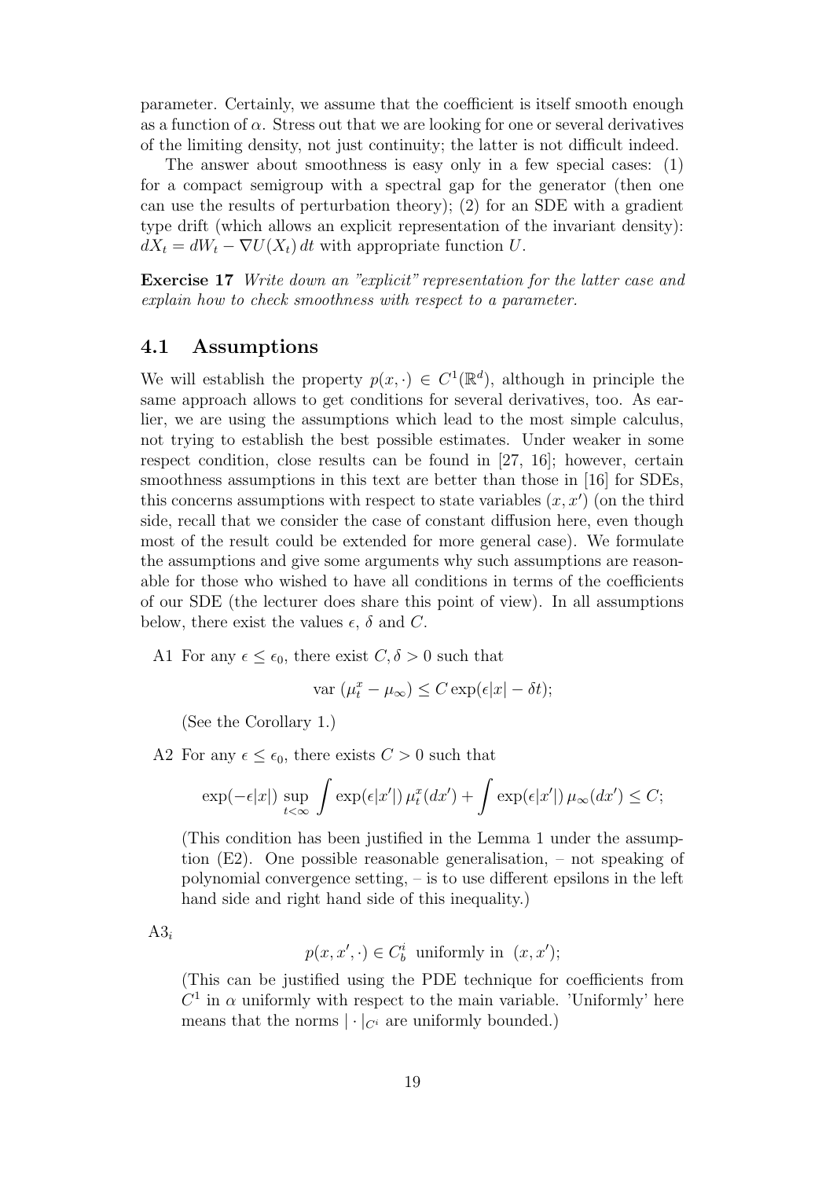parameter. Certainly, we assume that the coefficient is itself smooth enough as a function of  $\alpha$ . Stress out that we are looking for one or several derivatives of the limiting density, not just continuity; the latter is not difficult indeed.

The answer about smoothness is easy only in a few special cases: (1) for a compact semigroup with a spectral gap for the generator (then one can use the results of perturbation theory); (2) for an SDE with a gradient type drift (which allows an explicit representation of the invariant density):  $dX_t = dW_t - \nabla U(X_t) dt$  with appropriate function U.

Exercise 17 Write down an "explicit" representation for the latter case and explain how to check smoothness with respect to a parameter.

#### 4.1 Assumptions

We will establish the property  $p(x, \cdot) \in C^1(\mathbb{R}^d)$ , although in principle the same approach allows to get conditions for several derivatives, too. As earlier, we are using the assumptions which lead to the most simple calculus, not trying to establish the best possible estimates. Under weaker in some respect condition, close results can be found in [27, 16]; however, certain smoothness assumptions in this text are better than those in [16] for SDEs, this concerns assumptions with respect to state variables  $(x, x')$  (on the third side, recall that we consider the case of constant diffusion here, even though most of the result could be extended for more general case). We formulate the assumptions and give some arguments why such assumptions are reasonable for those who wished to have all conditions in terms of the coefficients of our SDE (the lecturer does share this point of view). In all assumptions below, there exist the values  $\epsilon$ ,  $\delta$  and C.

A1 For any  $\epsilon \leq \epsilon_0$ , there exist  $C, \delta > 0$  such that

var 
$$
(\mu_t^x - \mu_\infty) \leq C \exp(\epsilon |x| - \delta t);
$$

(See the Corollary 1.)

A2 For any  $\epsilon \leq \epsilon_0$ , there exists  $C > 0$  such that

$$
\exp(-\epsilon|x|) \sup_{t < \infty} \int \exp(\epsilon|x'|) \mu_t^x(dx') + \int \exp(\epsilon|x'|) \mu_\infty(dx') \le C;
$$

(This condition has been justified in the Lemma 1 under the assumption (E2). One possible reasonable generalisation, – not speaking of polynomial convergence setting, – is to use different epsilons in the left hand side and right hand side of this inequality.)

 $A3_i$ 

$$
p(x, x', \cdot) \in C_b^i
$$
 uniformly in  $(x, x')$ ;

(This can be justified using the PDE technique for coefficients from  $C<sup>1</sup>$  in  $\alpha$  uniformly with respect to the main variable. 'Uniformly' here means that the norms  $|\cdot|_{C^i}$  are uniformly bounded.)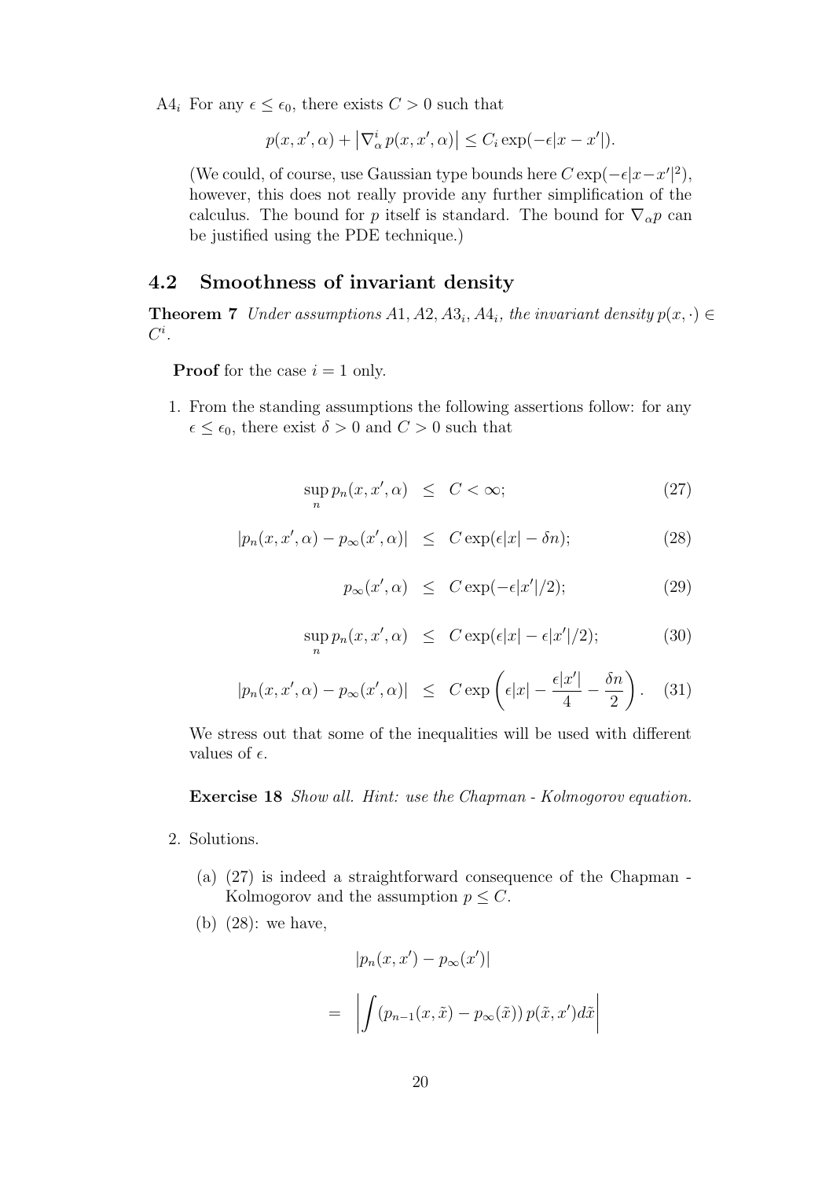A4<sub>i</sub> For any  $\epsilon \leq \epsilon_0$ , there exists  $C > 0$  such that

$$
p(x, x', \alpha) + |\nabla^i_{\alpha} p(x, x', \alpha)| \leq C_i \exp(-\epsilon |x - x'|).
$$

(We could, of course, use Gaussian type bounds here  $C \exp(-\epsilon |x - x'|^2)$ , however, this does not really provide any further simplification of the calculus. The bound for p itself is standard. The bound for  $\nabla_{\alpha} p$  can be justified using the PDE technique.)

#### 4.2 Smoothness of invariant density

**Theorem 7** Under assumptions  $A1, A2, A3_i, A4_i$ , the invariant density  $p(x, \cdot) \in \mathbb{R}$  $C^i.$ 

**Proof** for the case  $i = 1$  only.

1. From the standing assumptions the following assertions follow: for any  $\epsilon \leq \epsilon_0$ , there exist  $\delta > 0$  and  $C > 0$  such that

$$
\sup_{n} p_n(x, x', \alpha) \le C < \infty;
$$
\n(27)

$$
|p_n(x, x', \alpha) - p_{\infty}(x', \alpha)| \leq C \exp(\epsilon |x| - \delta n); \tag{28}
$$

$$
p_{\infty}(x', \alpha) \leq C \exp(-\epsilon |x'|/2); \tag{29}
$$

$$
\sup_{n} p_n(x, x', \alpha) \leq C \exp(\epsilon |x| - \epsilon |x'|/2); \tag{30}
$$

$$
|p_n(x, x', \alpha) - p_{\infty}(x', \alpha)| \leq C \exp\left(\epsilon |x| - \frac{\epsilon |x'|}{4} - \frac{\delta n}{2}\right). \quad (31)
$$

We stress out that some of the inequalities will be used with different values of  $\epsilon$ .

#### Exercise 18 Show all. Hint: use the Chapman - Kolmogorov equation.

- 2. Solutions.
	- (a) (27) is indeed a straightforward consequence of the Chapman Kolmogorov and the assumption  $p \leq C$ .
	- (b) (28): we have,

$$
|p_n(x, x') - p_\infty(x')|
$$
  
= 
$$
\int (p_{n-1}(x, \tilde{x}) - p_\infty(\tilde{x})) p(\tilde{x}, x') d\tilde{x}
$$

 $\begin{array}{c} \hline \end{array}$  $\overline{\phantom{a}}$  $\overline{\phantom{a}}$  $\vert$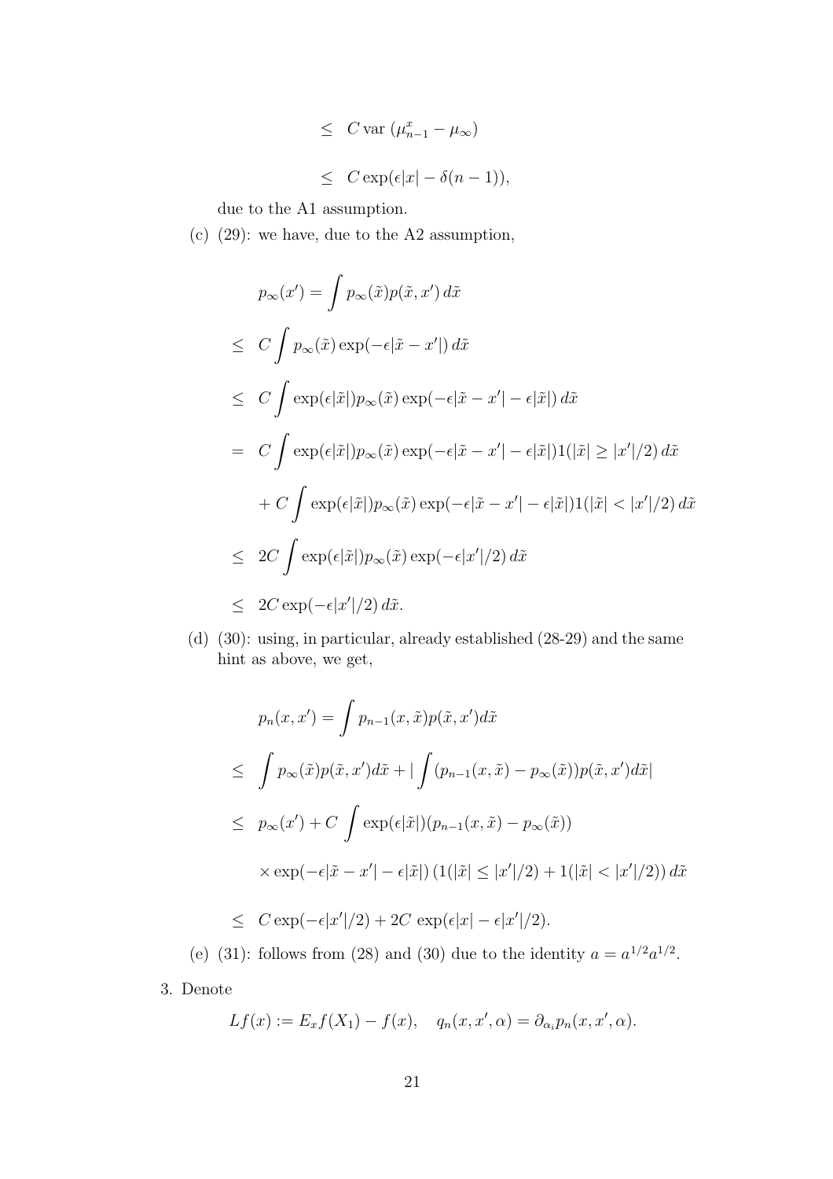$$
\leq C \operatorname{var} \left( \mu_{n-1}^x - \mu_\infty \right)
$$
  

$$
\leq C \exp(\epsilon |x| - \delta (n - 1)),
$$

due to the A1 assumption.

(c) (29): we have, due to the A2 assumption,

$$
p_{\infty}(x') = \int p_{\infty}(\tilde{x})p(\tilde{x}, x') d\tilde{x}
$$
  
\n
$$
\leq C \int p_{\infty}(\tilde{x}) \exp(-\epsilon |\tilde{x} - x'|) d\tilde{x}
$$
  
\n
$$
\leq C \int \exp(\epsilon |\tilde{x}|)p_{\infty}(\tilde{x}) \exp(-\epsilon |\tilde{x} - x'| - \epsilon |\tilde{x}|) d\tilde{x}
$$
  
\n
$$
= C \int \exp(\epsilon |\tilde{x}|)p_{\infty}(\tilde{x}) \exp(-\epsilon |\tilde{x} - x'| - \epsilon |\tilde{x}|)1(|\tilde{x}| \geq |x'|/2) d\tilde{x}
$$
  
\n
$$
+ C \int \exp(\epsilon |\tilde{x}|)p_{\infty}(\tilde{x}) \exp(-\epsilon |\tilde{x} - x'| - \epsilon |\tilde{x}|)1(|\tilde{x}| < |x'|/2) d\tilde{x}
$$
  
\n
$$
\leq 2C \int \exp(\epsilon |\tilde{x}|)p_{\infty}(\tilde{x}) \exp(-\epsilon |x'|/2) d\tilde{x}
$$
  
\n
$$
\leq 2C \exp(-\epsilon |x'|/2) d\tilde{x}.
$$

(d) (30): using, in particular, already established (28-29) and the same hint as above, we get,

$$
p_n(x, x') = \int p_{n-1}(x, \tilde{x}) p(\tilde{x}, x') d\tilde{x}
$$
  
\n
$$
\leq \int p_{\infty}(\tilde{x}) p(\tilde{x}, x') d\tilde{x} + |\int (p_{n-1}(x, \tilde{x}) - p_{\infty}(\tilde{x})) p(\tilde{x}, x') d\tilde{x}|
$$
  
\n
$$
\leq p_{\infty}(x') + C \int \exp(\epsilon|\tilde{x}|) (p_{n-1}(x, \tilde{x}) - p_{\infty}(\tilde{x}))
$$
  
\n
$$
\times \exp(-\epsilon|\tilde{x} - x'| - \epsilon|\tilde{x}|) (1(|\tilde{x}| \leq |x'|/2) + 1(|\tilde{x}| < |x'|/2)) d\tilde{x}
$$

$$
\leq C \exp(-\epsilon |x'|/2) + 2C \exp(\epsilon |x| - \epsilon |x'|/2).
$$

(e) (31): follows from (28) and (30) due to the identity  $a = a^{1/2} a^{1/2}$ .

3. Denote

$$
Lf(x) := E_x f(X_1) - f(x), \quad q_n(x, x', \alpha) = \partial_{\alpha_i} p_n(x, x', \alpha).
$$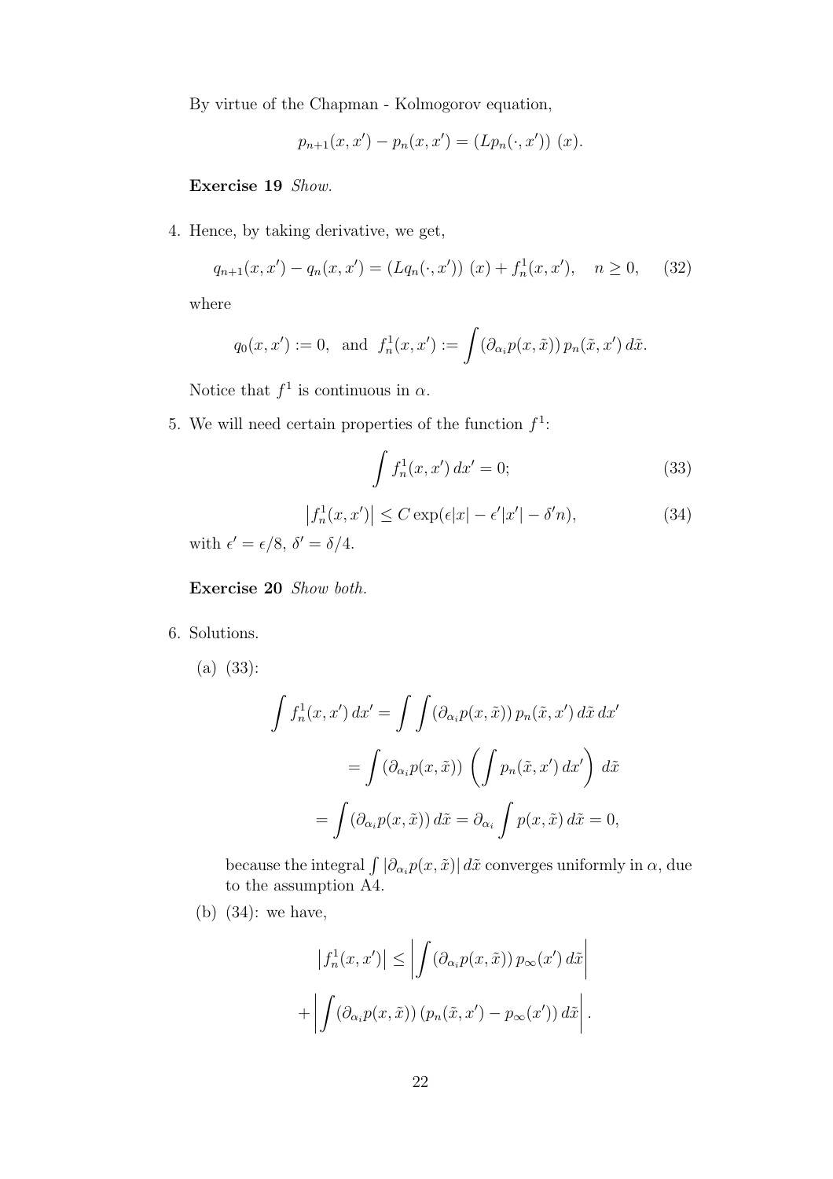By virtue of the Chapman - Kolmogorov equation,

$$
p_{n+1}(x, x') - p_n(x, x') = (Lp_n(\cdot, x')) (x).
$$

Exercise 19 Show.

4. Hence, by taking derivative, we get,

$$
q_{n+1}(x, x') - q_n(x, x') = (Lq_n(\cdot, x')) (x) + f_n^1(x, x'), \quad n \ge 0,
$$
 (32)

where

$$
q_0(x, x') := 0
$$
, and  $f_n^1(x, x') := \int (\partial_{\alpha_i} p(x, \tilde{x})) p_n(\tilde{x}, x') d\tilde{x}$ .

Notice that  $f^1$  is continuous in  $\alpha$ .

5. We will need certain properties of the function  $f^1$ :

$$
\int f_n^1(x, x') dx' = 0; \tag{33}
$$

$$
\left|f_n^1(x, x')\right| \le C \exp(\epsilon |x| - \epsilon' |x'| - \delta' n),\tag{34}
$$

with  $\epsilon' = \epsilon/8$ ,  $\delta' = \delta/4$ .

Exercise 20 Show both.

6. Solutions.

(a) (33):

$$
\int f_n^1(x, x') dx' = \int \int (\partial_{\alpha_i} p(x, \tilde{x})) p_n(\tilde{x}, x') d\tilde{x} dx'
$$

$$
= \int (\partial_{\alpha_i} p(x, \tilde{x})) \left( \int p_n(\tilde{x}, x') dx' \right) d\tilde{x}
$$

$$
= \int (\partial_{\alpha_i} p(x, \tilde{x})) d\tilde{x} = \partial_{\alpha_i} \int p(x, \tilde{x}) d\tilde{x} = 0,
$$

because the integral  $\int |\partial_{\alpha_i} p(x, \tilde{x})| d\tilde{x}$  converges uniformly in  $\alpha$ , due to the assumption A4.

(b) (34): we have,

$$
\left|f_n^1(x, x')\right| \le \left| \int \left(\partial_{\alpha_i} p(x, \tilde{x})\right) p_{\infty}(x') d\tilde{x} \right|
$$

$$
+ \left| \int \left(\partial_{\alpha_i} p(x, \tilde{x})\right) \left(p_n(\tilde{x}, x') - p_{\infty}(x')\right) d\tilde{x} \right|.
$$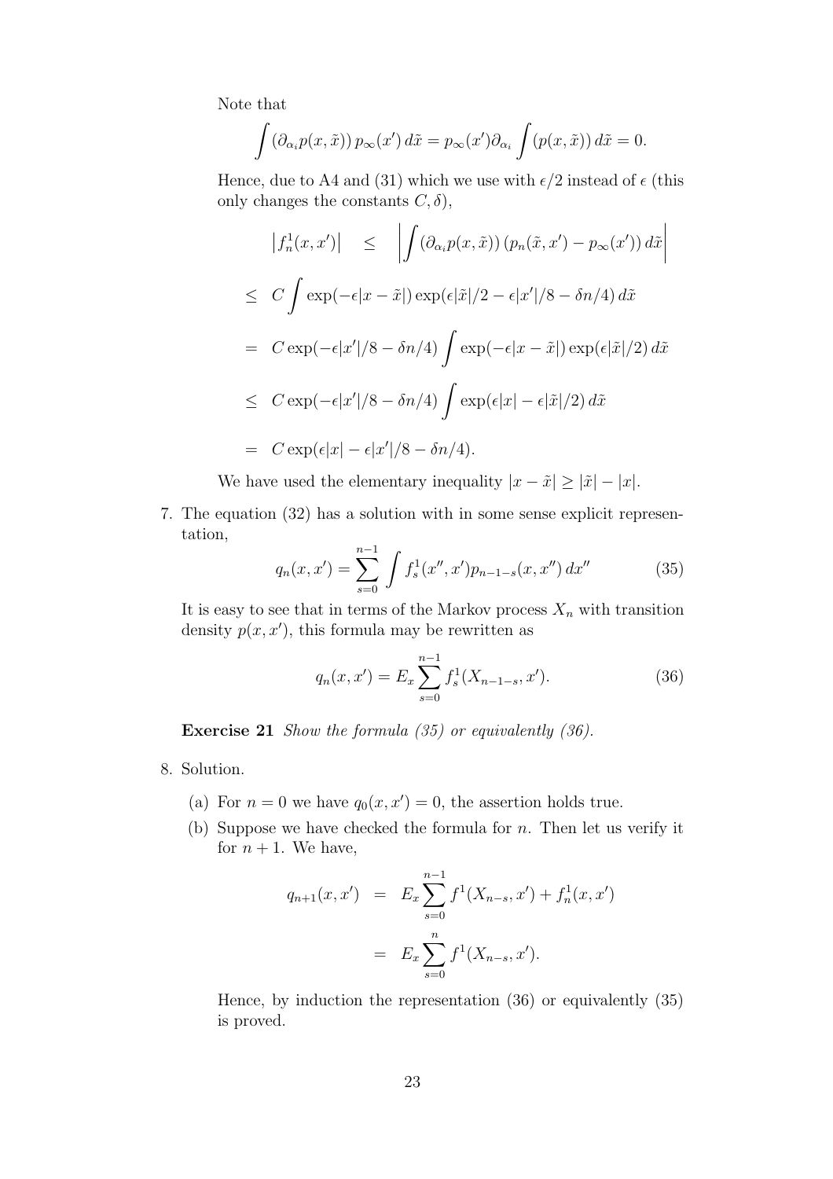Note that

$$
\int (\partial_{\alpha_i} p(x, \tilde{x})) p_{\infty}(x') d\tilde{x} = p_{\infty}(x') \partial_{\alpha_i} \int (p(x, \tilde{x})) d\tilde{x} = 0.
$$

Hence, due to A4 and (31) which we use with  $\epsilon/2$  instead of  $\epsilon$  (this only changes the constants  $C, \delta$ ,

$$
\begin{aligned}\n\left| f_n^1(x, x') \right| &\leq \left| \int (\partial_{\alpha_i} p(x, \tilde{x})) \left( p_n(\tilde{x}, x') - p_\infty(x') \right) d\tilde{x} \right| \\
&\leq C \int \exp(-\epsilon |x - \tilde{x}|) \exp(\epsilon |\tilde{x}|/2 - \epsilon |x'|/8 - \delta n/4) d\tilde{x} \\
&= C \exp(-\epsilon |x'|/8 - \delta n/4) \int \exp(-\epsilon |x - \tilde{x}|) \exp(\epsilon |\tilde{x}|/2) d\tilde{x} \\
&\leq C \exp(-\epsilon |x'|/8 - \delta n/4) \int \exp(\epsilon |x| - \epsilon |\tilde{x}|/2) d\tilde{x} \\
&= C \exp(\epsilon |x| - \epsilon |x'|/8 - \delta n/4).\n\end{aligned}
$$

We have used the elementary inequality  $|x - \tilde{x}| \ge |\tilde{x}| - |x|$ .

7. The equation (32) has a solution with in some sense explicit representation,

$$
q_n(x, x') = \sum_{s=0}^{n-1} \int f_s^1(x'', x') p_{n-1-s}(x, x'') dx''
$$
 (35)

It is easy to see that in terms of the Markov process  $X_n$  with transition density  $p(x, x')$ , this formula may be rewritten as

$$
q_n(x, x') = E_x \sum_{s=0}^{n-1} f_s^1(X_{n-1-s}, x').
$$
 (36)

Exercise 21 Show the formula (35) or equivalently (36).

- 8. Solution.
	- (a) For  $n = 0$  we have  $q_0(x, x') = 0$ , the assertion holds true.
	- (b) Suppose we have checked the formula for  $n$ . Then let us verify it for  $n + 1$ . We have,

$$
q_{n+1}(x, x') = E_x \sum_{s=0}^{n-1} f^1(X_{n-s}, x') + f_n^1(x, x')
$$
  
= 
$$
E_x \sum_{s=0}^{n} f^1(X_{n-s}, x').
$$

Hence, by induction the representation (36) or equivalently (35) is proved.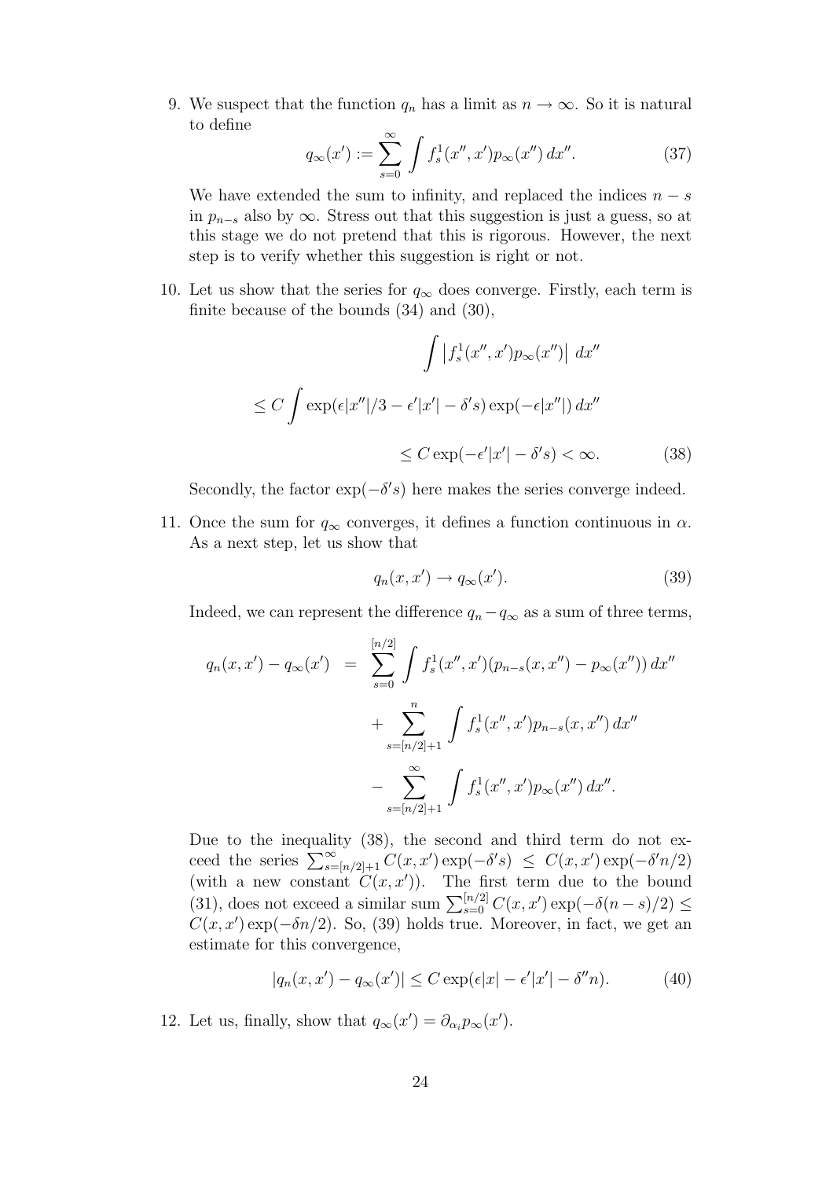9. We suspect that the function  $q_n$  has a limit as  $n \to \infty$ . So it is natural to define

$$
q_{\infty}(x') := \sum_{s=0}^{\infty} \int f_s^1(x'', x') p_{\infty}(x'') dx''.
$$
 (37)

We have extended the sum to infinity, and replaced the indices  $n - s$ in  $p_{n-s}$  also by  $\infty$ . Stress out that this suggestion is just a guess, so at this stage we do not pretend that this is rigorous. However, the next step is to verify whether this suggestion is right or not.

10. Let us show that the series for  $q_{\infty}$  does converge. Firstly, each term is finite because of the bounds (34) and (30),

$$
\int |f_s^1(x'', x')p_\infty(x'')| dx''
$$
  
\n
$$
\leq C \int \exp(\epsilon |x''|/3 - \epsilon' |x'| - \delta' s) \exp(-\epsilon |x''|) dx''
$$
  
\n
$$
\leq C \exp(-\epsilon' |x'| - \delta' s) < \infty.
$$
 (38)

Secondly, the factor  $\exp(-\delta' s)$  here makes the series converge indeed.

11. Once the sum for  $q_{\infty}$  converges, it defines a function continuous in  $\alpha$ . As a next step, let us show that

$$
q_n(x, x') \to q_\infty(x'). \tag{39}
$$

Indeed, we can represent the difference  $q_n - q_\infty$  as a sum of three terms,

$$
q_n(x, x') - q_\infty(x') = \sum_{s=0}^{\lfloor n/2 \rfloor} \int f_s^1(x'', x') (p_{n-s}(x, x'') - p_\infty(x'')) dx''
$$
  
+ 
$$
\sum_{s=\lfloor n/2 \rfloor+1}^n \int f_s^1(x'', x') p_{n-s}(x, x'') dx''
$$
  
- 
$$
\sum_{s=\lfloor n/2 \rfloor+1}^\infty \int f_s^1(x'', x') p_\infty(x'') dx''.
$$

Due to the inequality (38), the second and third term do not exceed the series  $\sum_{s=[n/2]+1}^{\infty} C(x, x') \exp(-\delta' s) \leq C(x, x') \exp(-\delta' n/2)$ (with a new constant  $C(x, x')$ ). The first term due to the bound (31), does not exceed a similar sum  $\sum_{s=0}^{\lfloor n/2 \rfloor} C(x, x') \exp(-\delta(n-s)/2) \le$  $C(x, x') \exp(-\delta n/2)$ . So, (39) holds true. Moreover, in fact, we get an estimate for this convergence,

$$
|q_n(x, x') - q_\infty(x')| \le C \exp(\epsilon |x| - \epsilon' |x'| - \delta'' n). \tag{40}
$$

12. Let us, finally, show that  $q_{\infty}(x') = \partial_{\alpha_i} p_{\infty}(x')$ .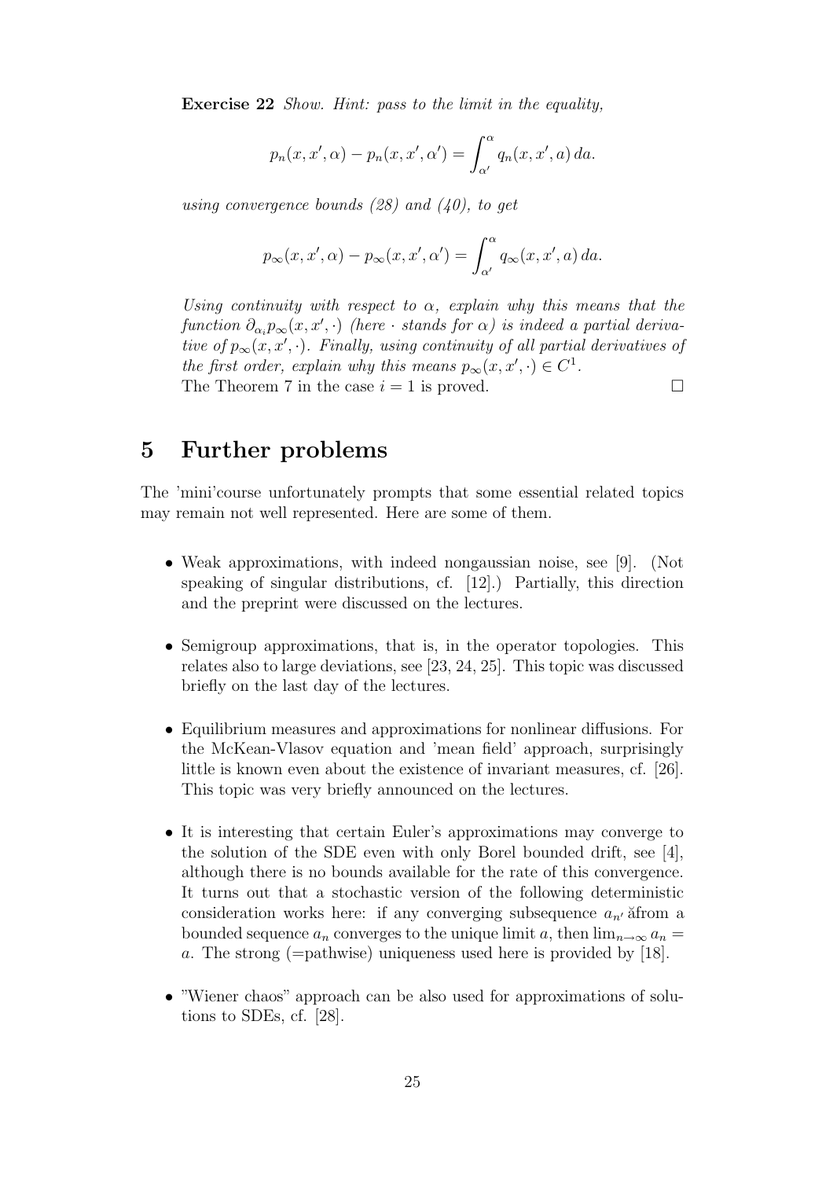Exercise 22 Show. Hint: pass to the limit in the equality,

$$
p_n(x, x', \alpha) - p_n(x, x', \alpha') = \int_{\alpha'}^{\alpha} q_n(x, x', a) da.
$$

using convergence bounds  $(28)$  and  $(40)$ , to get

$$
p_{\infty}(x, x', \alpha) - p_{\infty}(x, x', \alpha') = \int_{\alpha'}^{\alpha} q_{\infty}(x, x', a) da.
$$

Using continuity with respect to  $\alpha$ , explain why this means that the function  $\partial_{\alpha_i} p_\infty(x,x',\cdot)$  (here  $\cdot$  stands for  $\alpha$ ) is indeed a partial derivative of  $p_{\infty}(x, x', \cdot)$ . Finally, using continuity of all partial derivatives of the first order, explain why this means  $p_{\infty}(x, x', \cdot) \in C^1$ . The Theorem 7 in the case  $i = 1$  is proved.  $\Box$ 

## 5 Further problems

The 'mini'course unfortunately prompts that some essential related topics may remain not well represented. Here are some of them.

- Weak approximations, with indeed nongaussian noise, see [9]. (Not speaking of singular distributions, cf. [12].) Partially, this direction and the preprint were discussed on the lectures.
- Semigroup approximations, that is, in the operator topologies. This relates also to large deviations, see [23, 24, 25]. This topic was discussed briefly on the last day of the lectures.
- Equilibrium measures and approximations for nonlinear diffusions. For the McKean-Vlasov equation and 'mean field' approach, surprisingly little is known even about the existence of invariant measures, cf. [26]. This topic was very briefly announced on the lectures.
- It is interesting that certain Euler's approximations may converge to the solution of the SDE even with only Borel bounded drift, see [4], although there is no bounds available for the rate of this convergence. It turns out that a stochastic version of the following deterministic consideration works here: if any converging subsequence  $a_{n'}$  afrom a bounded sequence  $a_n$  converges to the unique limit a, then  $\lim_{n\to\infty} a_n =$ a. The strong (=pathwise) uniqueness used here is provided by [18].
- "Wiener chaos" approach can be also used for approximations of solutions to SDEs, cf. [28].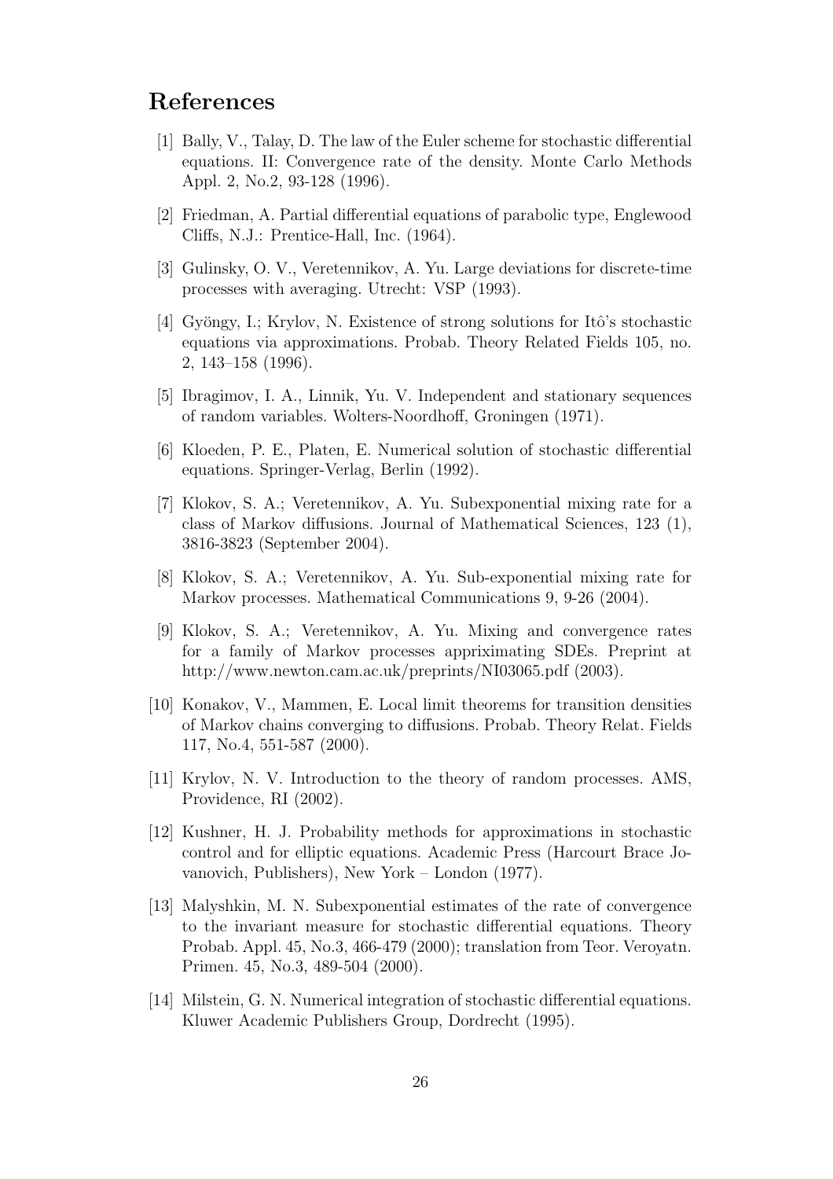## References

- [1] Bally, V., Talay, D. The law of the Euler scheme for stochastic differential equations. II: Convergence rate of the density. Monte Carlo Methods Appl. 2, No.2, 93-128 (1996).
- [2] Friedman, A. Partial differential equations of parabolic type, Englewood Cliffs, N.J.: Prentice-Hall, Inc. (1964).
- [3] Gulinsky, O. V., Veretennikov, A. Yu. Large deviations for discrete-time processes with averaging. Utrecht: VSP (1993).
- [4] Gyöngy, I.; Krylov, N. Existence of strong solutions for Itô's stochastic equations via approximations. Probab. Theory Related Fields 105, no. 2, 143–158 (1996).
- [5] Ibragimov, I. A., Linnik, Yu. V. Independent and stationary sequences of random variables. Wolters-Noordhoff, Groningen (1971).
- [6] Kloeden, P. E., Platen, E. Numerical solution of stochastic differential equations. Springer-Verlag, Berlin (1992).
- [7] Klokov, S. A.; Veretennikov, A. Yu. Subexponential mixing rate for a class of Markov diffusions. Journal of Mathematical Sciences, 123 (1), 3816-3823 (September 2004).
- [8] Klokov, S. A.; Veretennikov, A. Yu. Sub-exponential mixing rate for Markov processes. Mathematical Communications 9, 9-26 (2004).
- [9] Klokov, S. A.; Veretennikov, A. Yu. Mixing and convergence rates for a family of Markov processes appriximating SDEs. Preprint at http://www.newton.cam.ac.uk/preprints/NI03065.pdf (2003).
- [10] Konakov, V., Mammen, E. Local limit theorems for transition densities of Markov chains converging to diffusions. Probab. Theory Relat. Fields 117, No.4, 551-587 (2000).
- [11] Krylov, N. V. Introduction to the theory of random processes. AMS, Providence, RI (2002).
- [12] Kushner, H. J. Probability methods for approximations in stochastic control and for elliptic equations. Academic Press (Harcourt Brace Jovanovich, Publishers), New York – London (1977).
- [13] Malyshkin, M. N. Subexponential estimates of the rate of convergence to the invariant measure for stochastic differential equations. Theory Probab. Appl. 45, No.3, 466-479 (2000); translation from Teor. Veroyatn. Primen. 45, No.3, 489-504 (2000).
- [14] Milstein, G. N. Numerical integration of stochastic differential equations. Kluwer Academic Publishers Group, Dordrecht (1995).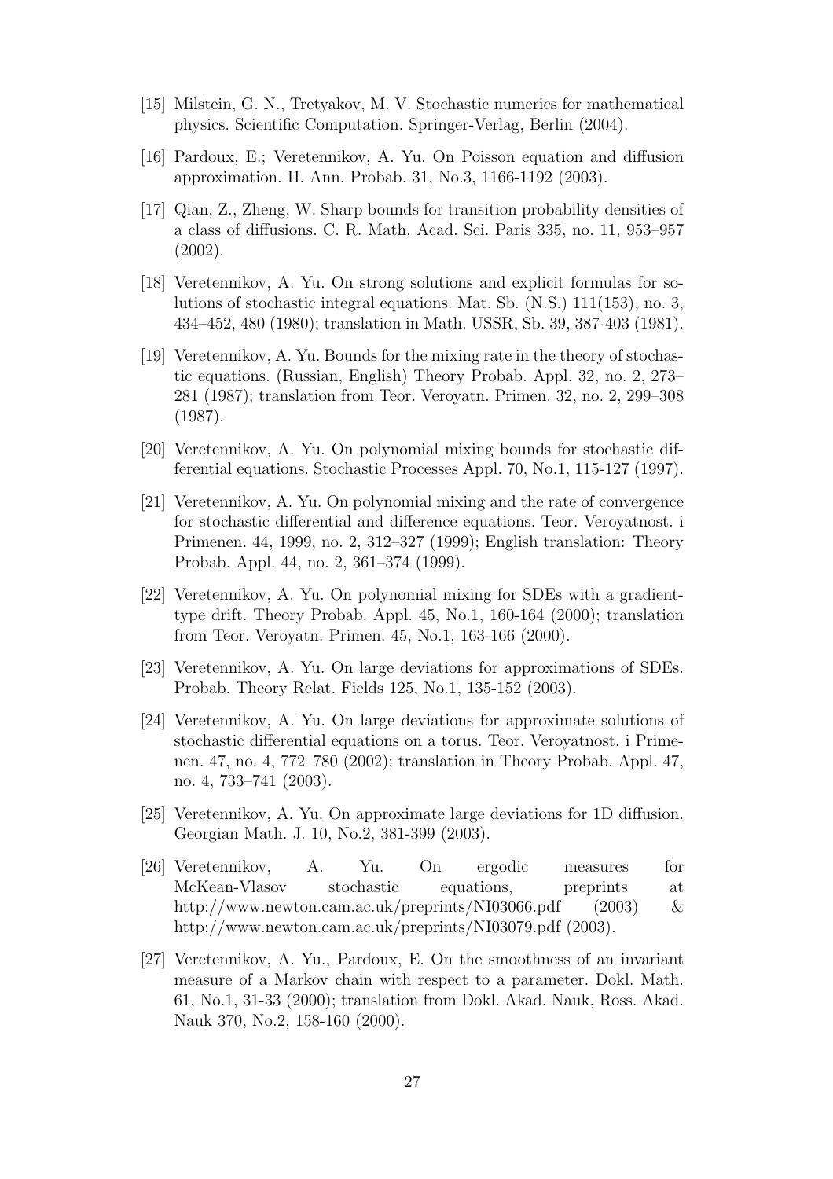- [15] Milstein, G. N., Tretyakov, M. V. Stochastic numerics for mathematical physics. Scientific Computation. Springer-Verlag, Berlin (2004).
- [16] Pardoux, E.; Veretennikov, A. Yu. On Poisson equation and diffusion approximation. II. Ann. Probab. 31, No.3, 1166-1192 (2003).
- [17] Qian, Z., Zheng, W. Sharp bounds for transition probability densities of a class of diffusions. C. R. Math. Acad. Sci. Paris 335, no. 11, 953–957 (2002).
- [18] Veretennikov, A. Yu. On strong solutions and explicit formulas for solutions of stochastic integral equations. Mat. Sb. (N.S.) 111(153), no. 3, 434–452, 480 (1980); translation in Math. USSR, Sb. 39, 387-403 (1981).
- [19] Veretennikov, A. Yu. Bounds for the mixing rate in the theory of stochastic equations. (Russian, English) Theory Probab. Appl. 32, no. 2, 273– 281 (1987); translation from Teor. Veroyatn. Primen. 32, no. 2, 299–308 (1987).
- [20] Veretennikov, A. Yu. On polynomial mixing bounds for stochastic differential equations. Stochastic Processes Appl. 70, No.1, 115-127 (1997).
- [21] Veretennikov, A. Yu. On polynomial mixing and the rate of convergence for stochastic differential and difference equations. Teor. Veroyatnost. i Primenen. 44, 1999, no. 2, 312–327 (1999); English translation: Theory Probab. Appl. 44, no. 2, 361–374 (1999).
- [22] Veretennikov, A. Yu. On polynomial mixing for SDEs with a gradienttype drift. Theory Probab. Appl. 45, No.1, 160-164 (2000); translation from Teor. Veroyatn. Primen. 45, No.1, 163-166 (2000).
- [23] Veretennikov, A. Yu. On large deviations for approximations of SDEs. Probab. Theory Relat. Fields 125, No.1, 135-152 (2003).
- [24] Veretennikov, A. Yu. On large deviations for approximate solutions of stochastic differential equations on a torus. Teor. Veroyatnost. i Primenen. 47, no. 4, 772–780 (2002); translation in Theory Probab. Appl. 47, no. 4, 733–741 (2003).
- [25] Veretennikov, A. Yu. On approximate large deviations for 1D diffusion. Georgian Math. J. 10, No.2, 381-399 (2003).
- [26] Veretennikov, A. Yu. On ergodic measures for McKean-Vlasov stochastic equations, preprints at http://www.newton.cam.ac.uk/preprints/NI03066.pdf (2003) & http://www.newton.cam.ac.uk/preprints/NI03079.pdf (2003).
- [27] Veretennikov, A. Yu., Pardoux, E. On the smoothness of an invariant measure of a Markov chain with respect to a parameter. Dokl. Math. 61, No.1, 31-33 (2000); translation from Dokl. Akad. Nauk, Ross. Akad. Nauk 370, No.2, 158-160 (2000).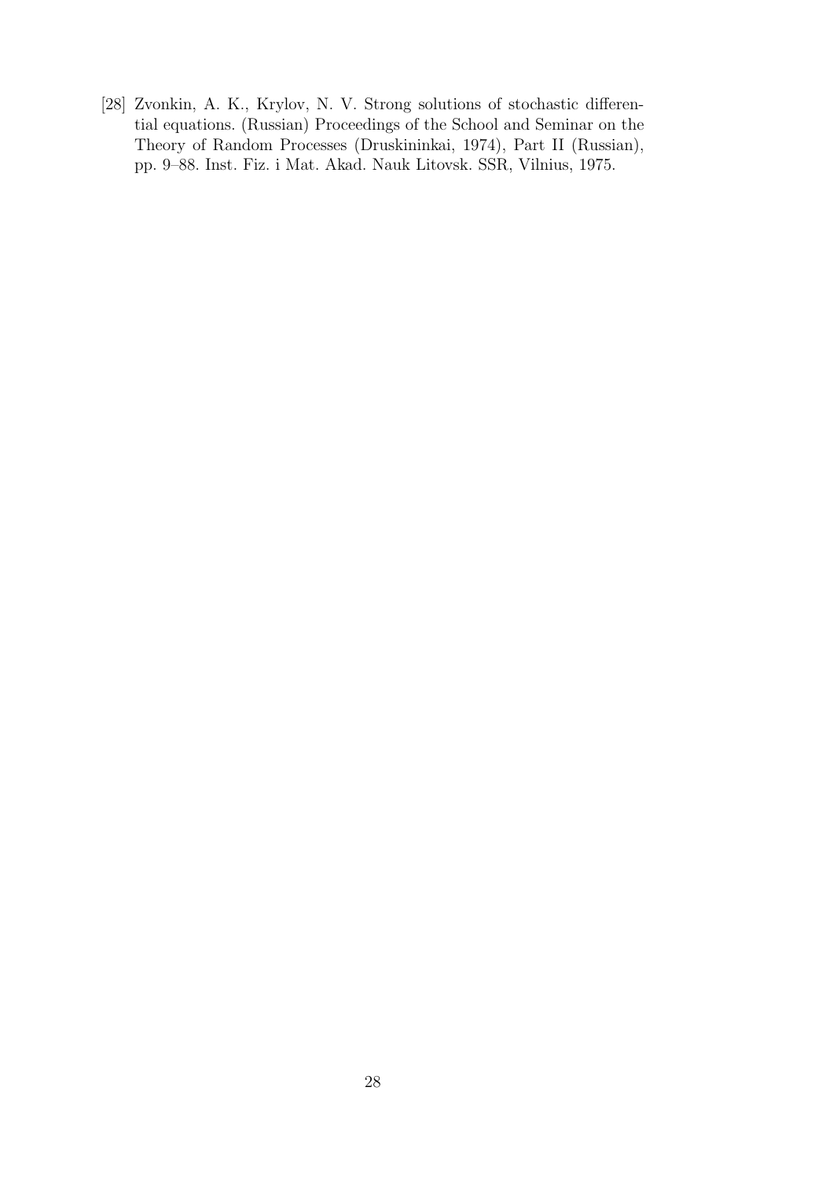[28] Zvonkin, A. K., Krylov, N. V. Strong solutions of stochastic differential equations. (Russian) Proceedings of the School and Seminar on the Theory of Random Processes (Druskininkai, 1974), Part II (Russian), pp. 9–88. Inst. Fiz. i Mat. Akad. Nauk Litovsk. SSR, Vilnius, 1975.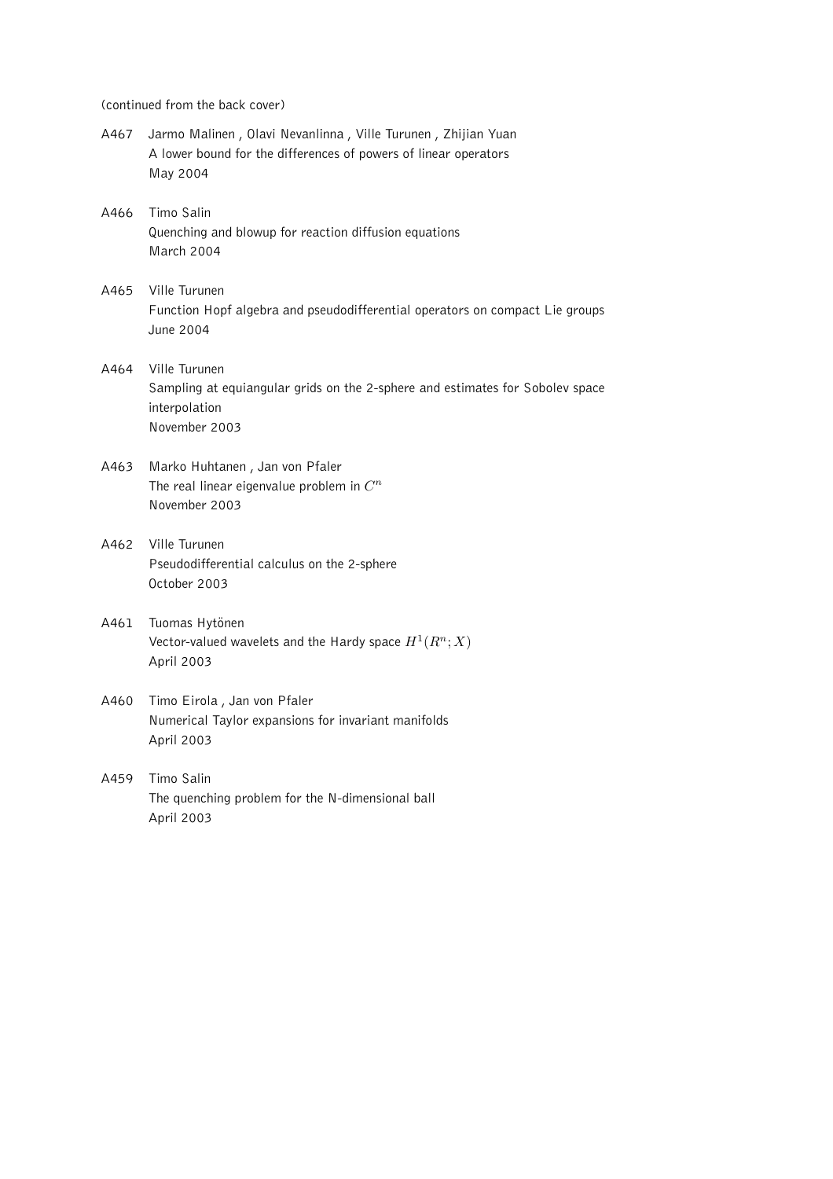(continued from the back cover)

- A467 Jarmo Malinen , Olavi Nevanlinna , Ville Turunen , Zhijian Yuan A lower bound for the differences of powers of linear operators May 2004
- A466 Timo Salin Quenching and blowup for reaction diffusion equations March 2004
- A465 Ville Turunen Function Hopf algebra and pseudodifferential operators on compact Lie groups June 2004
- A464 Ville Turunen Sampling at equiangular grids on the 2-sphere and estimates for Sobolev space interpolation November 2003
- A463 Marko Huhtanen , Jan von Pfaler The real linear eigenvalue problem in  $C^n$ November 2003
- A462 Ville Turunen Pseudodifferential calculus on the 2-sphere October 2003
- A461 Tuomas Hytönen Vector-valued wavelets and the Hardy space  $H^1(R^n;X)$ April 2003
- A460 Timo Eirola , Jan von Pfaler Numerical Taylor expansions for invariant manifolds April 2003
- A459 Timo Salin The quenching problem for the N-dimensional ball April 2003